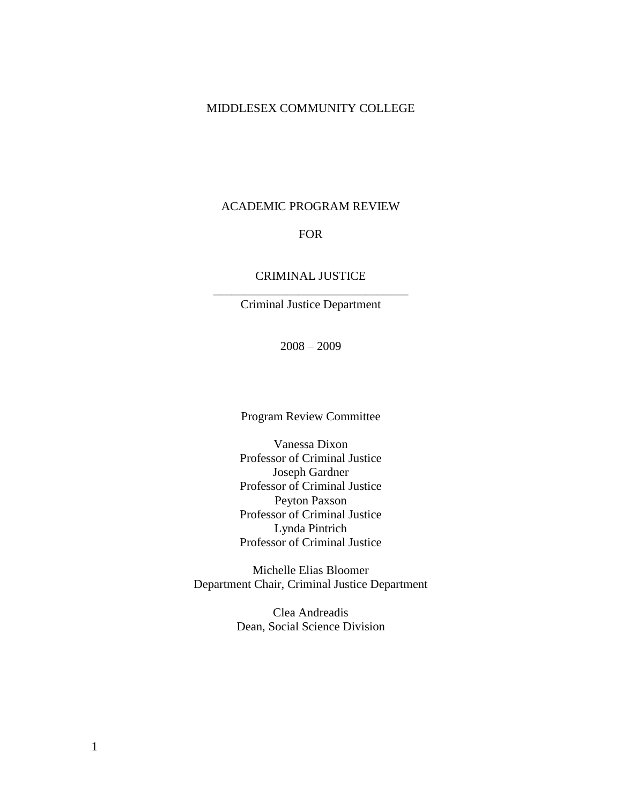## MIDDLESEX COMMUNITY COLLEGE

#### ACADEMIC PROGRAM REVIEW

## FOR

## CRIMINAL JUSTICE \_\_\_\_\_\_\_\_\_\_\_\_\_\_\_\_\_\_\_\_\_\_\_\_\_\_\_\_\_\_\_\_

Criminal Justice Department

2008 – 2009

Program Review Committee

Vanessa Dixon Professor of Criminal Justice Joseph Gardner Professor of Criminal Justice Peyton Paxson Professor of Criminal Justice Lynda Pintrich Professor of Criminal Justice

Michelle Elias Bloomer Department Chair, Criminal Justice Department

> Clea Andreadis Dean, Social Science Division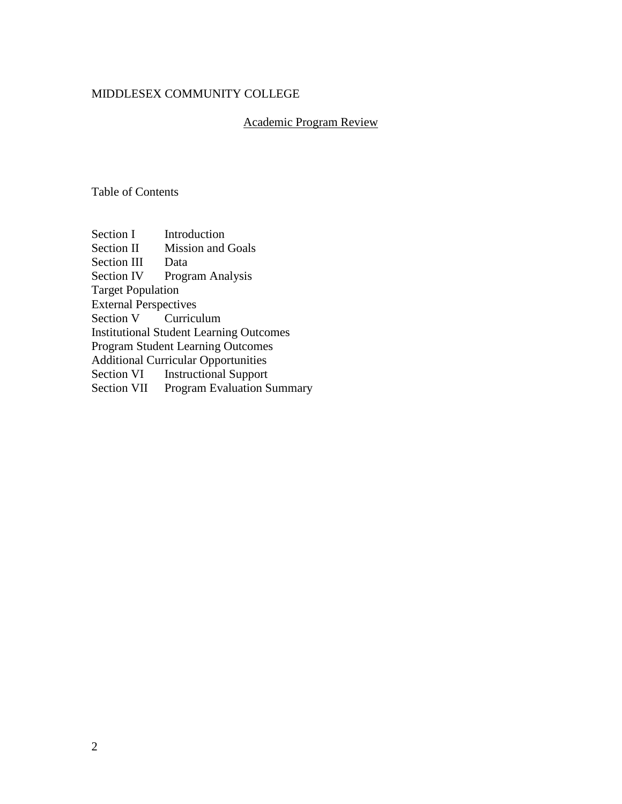## MIDDLESEX COMMUNITY COLLEGE

# Academic Program Review

Table of Contents

Section I Introduction Section II Mission and Goals Section III Data Section IV Program Analysis Target Population External Perspectives Section V Curriculum Institutional Student Learning Outcomes Program Student Learning Outcomes Additional Curricular Opportunities Section VI Instructional Support Section VII Program Evaluation Summary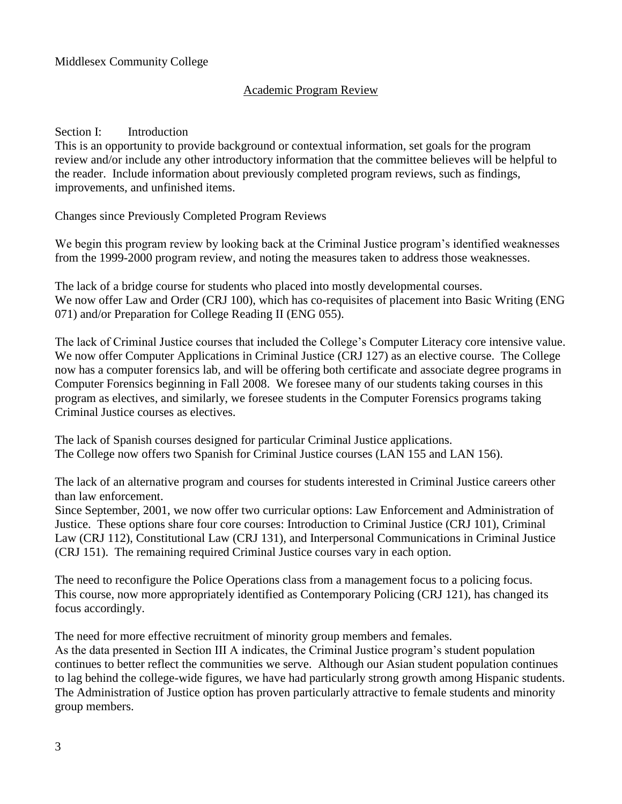# Academic Program Review

## Section I: Introduction

This is an opportunity to provide background or contextual information, set goals for the program review and/or include any other introductory information that the committee believes will be helpful to the reader. Include information about previously completed program reviews, such as findings, improvements, and unfinished items.

Changes since Previously Completed Program Reviews

We begin this program review by looking back at the Criminal Justice program's identified weaknesses from the 1999-2000 program review, and noting the measures taken to address those weaknesses.

The lack of a bridge course for students who placed into mostly developmental courses. We now offer Law and Order (CRJ 100), which has co-requisites of placement into Basic Writing (ENG 071) and/or Preparation for College Reading II (ENG 055).

The lack of Criminal Justice courses that included the College's Computer Literacy core intensive value. We now offer Computer Applications in Criminal Justice (CRJ 127) as an elective course. The College now has a computer forensics lab, and will be offering both certificate and associate degree programs in Computer Forensics beginning in Fall 2008. We foresee many of our students taking courses in this program as electives, and similarly, we foresee students in the Computer Forensics programs taking Criminal Justice courses as electives.

The lack of Spanish courses designed for particular Criminal Justice applications. The College now offers two Spanish for Criminal Justice courses (LAN 155 and LAN 156).

The lack of an alternative program and courses for students interested in Criminal Justice careers other than law enforcement.

Since September, 2001, we now offer two curricular options: Law Enforcement and Administration of Justice. These options share four core courses: Introduction to Criminal Justice (CRJ 101), Criminal Law (CRJ 112), Constitutional Law (CRJ 131), and Interpersonal Communications in Criminal Justice (CRJ 151). The remaining required Criminal Justice courses vary in each option.

The need to reconfigure the Police Operations class from a management focus to a policing focus. This course, now more appropriately identified as Contemporary Policing (CRJ 121), has changed its focus accordingly.

The need for more effective recruitment of minority group members and females.

As the data presented in Section III A indicates, the Criminal Justice program's student population continues to better reflect the communities we serve. Although our Asian student population continues to lag behind the college-wide figures, we have had particularly strong growth among Hispanic students. The Administration of Justice option has proven particularly attractive to female students and minority group members.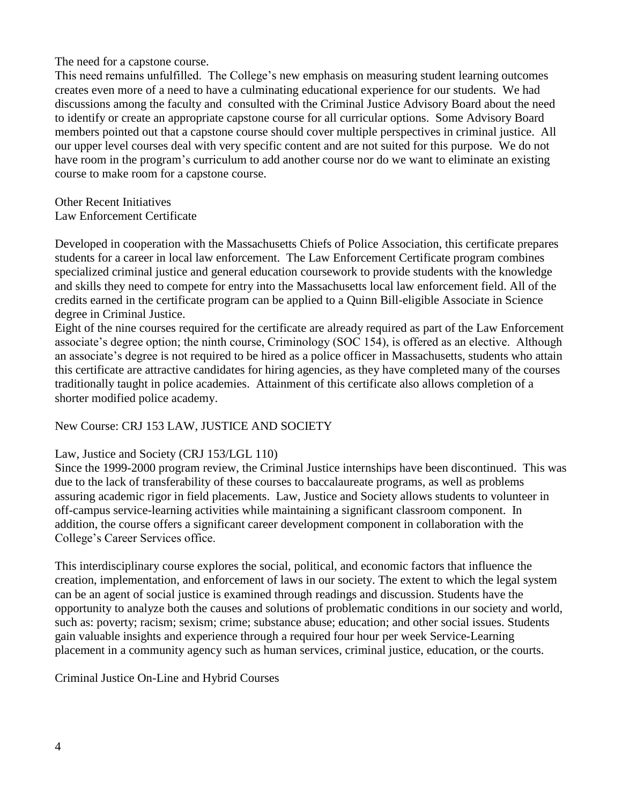The need for a capstone course.

This need remains unfulfilled. The College's new emphasis on measuring student learning outcomes creates even more of a need to have a culminating educational experience for our students. We had discussions among the faculty and consulted with the Criminal Justice Advisory Board about the need to identify or create an appropriate capstone course for all curricular options. Some Advisory Board members pointed out that a capstone course should cover multiple perspectives in criminal justice. All our upper level courses deal with very specific content and are not suited for this purpose. We do not have room in the program's curriculum to add another course nor do we want to eliminate an existing course to make room for a capstone course.

Other Recent Initiatives Law Enforcement Certificate

Developed in cooperation with the Massachusetts Chiefs of Police Association, this certificate prepares students for a career in local law enforcement. The Law Enforcement Certificate program combines specialized criminal justice and general education coursework to provide students with the knowledge and skills they need to compete for entry into the Massachusetts local law enforcement field. All of the credits earned in the certificate program can be applied to a Quinn Bill-eligible Associate in Science degree in Criminal Justice.

Eight of the nine courses required for the certificate are already required as part of the Law Enforcement associate's degree option; the ninth course, Criminology (SOC 154), is offered as an elective. Although an associate's degree is not required to be hired as a police officer in Massachusetts, students who attain this certificate are attractive candidates for hiring agencies, as they have completed many of the courses traditionally taught in police academies. Attainment of this certificate also allows completion of a shorter modified police academy.

New Course: CRJ 153 LAW, JUSTICE AND SOCIETY

## Law, Justice and Society (CRJ 153/LGL 110)

Since the 1999-2000 program review, the Criminal Justice internships have been discontinued. This was due to the lack of transferability of these courses to baccalaureate programs, as well as problems assuring academic rigor in field placements. Law, Justice and Society allows students to volunteer in off-campus service-learning activities while maintaining a significant classroom component. In addition, the course offers a significant career development component in collaboration with the College's Career Services office.

This interdisciplinary course explores the social, political, and economic factors that influence the creation, implementation, and enforcement of laws in our society. The extent to which the legal system can be an agent of social justice is examined through readings and discussion. Students have the opportunity to analyze both the causes and solutions of problematic conditions in our society and world, such as: poverty; racism; sexism; crime; substance abuse; education; and other social issues. Students gain valuable insights and experience through a required four hour per week Service-Learning placement in a community agency such as human services, criminal justice, education, or the courts.

Criminal Justice On-Line and Hybrid Courses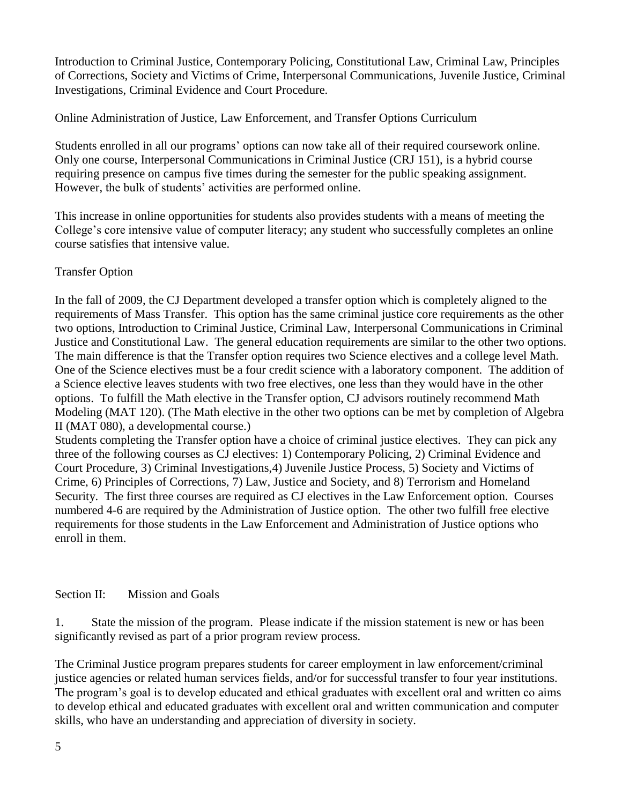Introduction to Criminal Justice, Contemporary Policing, Constitutional Law, Criminal Law, Principles of Corrections, Society and Victims of Crime, Interpersonal Communications, Juvenile Justice, Criminal Investigations, Criminal Evidence and Court Procedure.

Online Administration of Justice, Law Enforcement, and Transfer Options Curriculum

Students enrolled in all our programs' options can now take all of their required coursework online. Only one course, Interpersonal Communications in Criminal Justice (CRJ 151), is a hybrid course requiring presence on campus five times during the semester for the public speaking assignment. However, the bulk of students' activities are performed online.

This increase in online opportunities for students also provides students with a means of meeting the College's core intensive value of computer literacy; any student who successfully completes an online course satisfies that intensive value.

# Transfer Option

In the fall of 2009, the CJ Department developed a transfer option which is completely aligned to the requirements of Mass Transfer. This option has the same criminal justice core requirements as the other two options, Introduction to Criminal Justice, Criminal Law, Interpersonal Communications in Criminal Justice and Constitutional Law. The general education requirements are similar to the other two options. The main difference is that the Transfer option requires two Science electives and a college level Math. One of the Science electives must be a four credit science with a laboratory component. The addition of a Science elective leaves students with two free electives, one less than they would have in the other options. To fulfill the Math elective in the Transfer option, CJ advisors routinely recommend Math Modeling (MAT 120). (The Math elective in the other two options can be met by completion of Algebra II (MAT 080), a developmental course.)

Students completing the Transfer option have a choice of criminal justice electives. They can pick any three of the following courses as CJ electives: 1) Contemporary Policing, 2) Criminal Evidence and Court Procedure, 3) Criminal Investigations,4) Juvenile Justice Process, 5) Society and Victims of Crime, 6) Principles of Corrections, 7) Law, Justice and Society, and 8) Terrorism and Homeland Security. The first three courses are required as CJ electives in the Law Enforcement option. Courses numbered 4-6 are required by the Administration of Justice option. The other two fulfill free elective requirements for those students in the Law Enforcement and Administration of Justice options who enroll in them.

# Section II: Mission and Goals

1. State the mission of the program. Please indicate if the mission statement is new or has been significantly revised as part of a prior program review process.

The Criminal Justice program prepares students for career employment in law enforcement/criminal justice agencies or related human services fields, and/or for successful transfer to four year institutions. The program's goal is to develop educated and ethical graduates with excellent oral and written co aims to develop ethical and educated graduates with excellent oral and written communication and computer skills, who have an understanding and appreciation of diversity in society.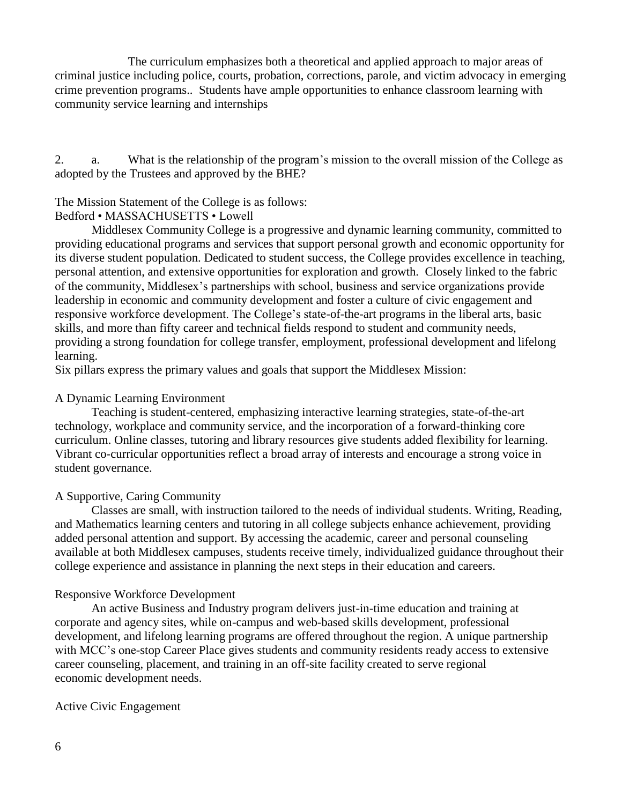The curriculum emphasizes both a theoretical and applied approach to major areas of criminal justice including police, courts, probation, corrections, parole, and victim advocacy in emerging crime prevention programs.. Students have ample opportunities to enhance classroom learning with community service learning and internships

2. a. What is the relationship of the program's mission to the overall mission of the College as adopted by the Trustees and approved by the BHE?

## The Mission Statement of the College is as follows:

#### Bedford • MASSACHUSETTS • Lowell

Middlesex Community College is a progressive and dynamic learning community, committed to providing educational programs and services that support personal growth and economic opportunity for its diverse student population. Dedicated to student success, the College provides excellence in teaching, personal attention, and extensive opportunities for exploration and growth. Closely linked to the fabric of the community, Middlesex's partnerships with school, business and service organizations provide leadership in economic and community development and foster a culture of civic engagement and responsive workforce development. The College's state-of-the-art programs in the liberal arts, basic skills, and more than fifty career and technical fields respond to student and community needs, providing a strong foundation for college transfer, employment, professional development and lifelong learning.

Six pillars express the primary values and goals that support the Middlesex Mission:

#### A Dynamic Learning Environment

Teaching is student-centered, emphasizing interactive learning strategies, state-of-the-art technology, workplace and community service, and the incorporation of a forward-thinking core curriculum. Online classes, tutoring and library resources give students added flexibility for learning. Vibrant co-curricular opportunities reflect a broad array of interests and encourage a strong voice in student governance.

#### A Supportive, Caring Community

Classes are small, with instruction tailored to the needs of individual students. Writing, Reading, and Mathematics learning centers and tutoring in all college subjects enhance achievement, providing added personal attention and support. By accessing the academic, career and personal counseling available at both Middlesex campuses, students receive timely, individualized guidance throughout their college experience and assistance in planning the next steps in their education and careers.

#### Responsive Workforce Development

An active Business and Industry program delivers just-in-time education and training at corporate and agency sites, while on-campus and web-based skills development, professional development, and lifelong learning programs are offered throughout the region. A unique partnership with MCC's one-stop Career Place gives students and community residents ready access to extensive career counseling, placement, and training in an off-site facility created to serve regional economic development needs.

#### Active Civic Engagement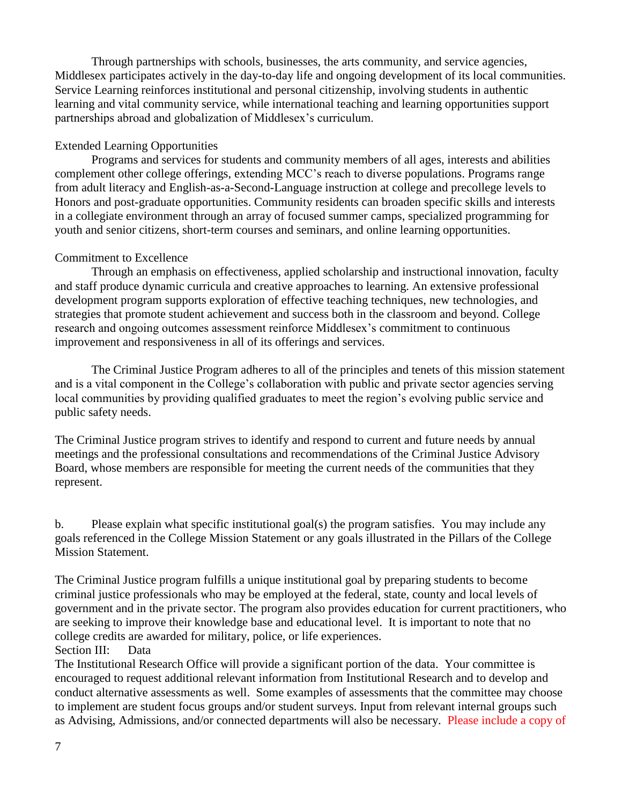Through partnerships with schools, businesses, the arts community, and service agencies, Middlesex participates actively in the day-to-day life and ongoing development of its local communities. Service Learning reinforces institutional and personal citizenship, involving students in authentic learning and vital community service, while international teaching and learning opportunities support partnerships abroad and globalization of Middlesex's curriculum.

# Extended Learning Opportunities

Programs and services for students and community members of all ages, interests and abilities complement other college offerings, extending MCC's reach to diverse populations. Programs range from adult literacy and English-as-a-Second-Language instruction at college and precollege levels to Honors and post-graduate opportunities. Community residents can broaden specific skills and interests in a collegiate environment through an array of focused summer camps, specialized programming for youth and senior citizens, short-term courses and seminars, and online learning opportunities.

# Commitment to Excellence

Through an emphasis on effectiveness, applied scholarship and instructional innovation, faculty and staff produce dynamic curricula and creative approaches to learning. An extensive professional development program supports exploration of effective teaching techniques, new technologies, and strategies that promote student achievement and success both in the classroom and beyond. College research and ongoing outcomes assessment reinforce Middlesex's commitment to continuous improvement and responsiveness in all of its offerings and services.

The Criminal Justice Program adheres to all of the principles and tenets of this mission statement and is a vital component in the College's collaboration with public and private sector agencies serving local communities by providing qualified graduates to meet the region's evolving public service and public safety needs.

The Criminal Justice program strives to identify and respond to current and future needs by annual meetings and the professional consultations and recommendations of the Criminal Justice Advisory Board, whose members are responsible for meeting the current needs of the communities that they represent.

b. Please explain what specific institutional goal(s) the program satisfies. You may include any goals referenced in the College Mission Statement or any goals illustrated in the Pillars of the College Mission Statement.

The Criminal Justice program fulfills a unique institutional goal by preparing students to become criminal justice professionals who may be employed at the federal, state, county and local levels of government and in the private sector. The program also provides education for current practitioners, who are seeking to improve their knowledge base and educational level. It is important to note that no college credits are awarded for military, police, or life experiences.

# Section III: Data

The Institutional Research Office will provide a significant portion of the data. Your committee is encouraged to request additional relevant information from Institutional Research and to develop and conduct alternative assessments as well. Some examples of assessments that the committee may choose to implement are student focus groups and/or student surveys. Input from relevant internal groups such as Advising, Admissions, and/or connected departments will also be necessary. Please include a copy of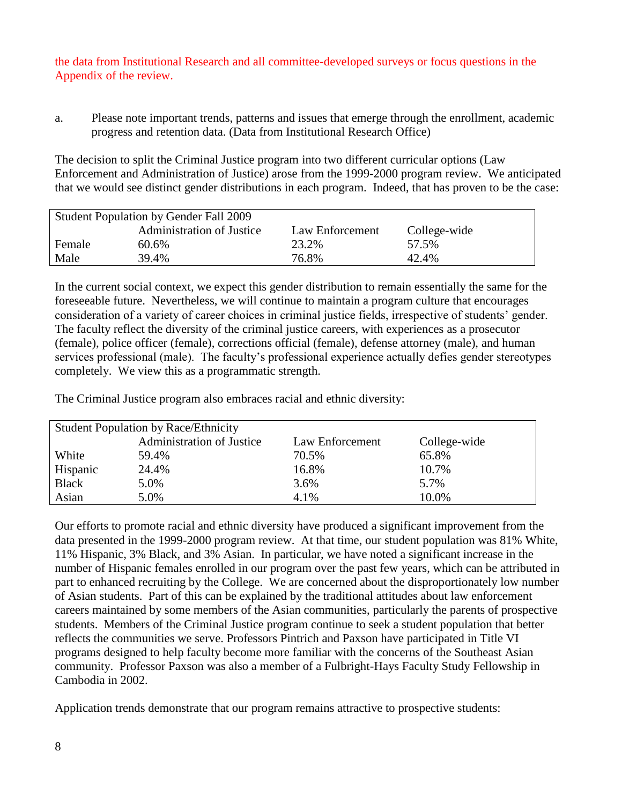the data from Institutional Research and all committee-developed surveys or focus questions in the Appendix of the review.

a. Please note important trends, patterns and issues that emerge through the enrollment, academic progress and retention data. (Data from Institutional Research Office)

The decision to split the Criminal Justice program into two different curricular options (Law Enforcement and Administration of Justice) arose from the 1999-2000 program review. We anticipated that we would see distinct gender distributions in each program. Indeed, that has proven to be the case:

| Student Population by Gender Fall 2009                              |       |       |       |  |  |  |  |  |  |  |
|---------------------------------------------------------------------|-------|-------|-------|--|--|--|--|--|--|--|
| <b>Administration of Justice</b><br>Law Enforcement<br>College-wide |       |       |       |  |  |  |  |  |  |  |
| Female                                                              | 60.6% | 23.2% | 57.5% |  |  |  |  |  |  |  |
| Male                                                                | 39.4% | 76.8% | 42.4% |  |  |  |  |  |  |  |

In the current social context, we expect this gender distribution to remain essentially the same for the foreseeable future. Nevertheless, we will continue to maintain a program culture that encourages consideration of a variety of career choices in criminal justice fields, irrespective of students' gender. The faculty reflect the diversity of the criminal justice careers, with experiences as a prosecutor (female), police officer (female), corrections official (female), defense attorney (male), and human services professional (male). The faculty's professional experience actually defies gender stereotypes completely. We view this as a programmatic strength.

The Criminal Justice program also embraces racial and ethnic diversity:

| <b>Student Population by Race/Ethnicity</b> |                           |                 |              |  |  |  |  |  |  |
|---------------------------------------------|---------------------------|-----------------|--------------|--|--|--|--|--|--|
|                                             | Administration of Justice | Law Enforcement | College-wide |  |  |  |  |  |  |
| White                                       | 59.4%                     | 70.5%           | 65.8%        |  |  |  |  |  |  |
| Hispanic                                    | 24.4%                     | 16.8%           | 10.7%        |  |  |  |  |  |  |
| <b>Black</b>                                | 5.0%                      | 3.6%            | 5.7%         |  |  |  |  |  |  |
| Asian                                       | 5.0%                      | 4.1%            | 10.0%        |  |  |  |  |  |  |

Our efforts to promote racial and ethnic diversity have produced a significant improvement from the data presented in the 1999-2000 program review. At that time, our student population was 81% White, 11% Hispanic, 3% Black, and 3% Asian. In particular, we have noted a significant increase in the number of Hispanic females enrolled in our program over the past few years, which can be attributed in part to enhanced recruiting by the College. We are concerned about the disproportionately low number of Asian students. Part of this can be explained by the traditional attitudes about law enforcement careers maintained by some members of the Asian communities, particularly the parents of prospective students. Members of the Criminal Justice program continue to seek a student population that better reflects the communities we serve. Professors Pintrich and Paxson have participated in Title VI programs designed to help faculty become more familiar with the concerns of the Southeast Asian community. Professor Paxson was also a member of a Fulbright-Hays Faculty Study Fellowship in Cambodia in 2002.

Application trends demonstrate that our program remains attractive to prospective students: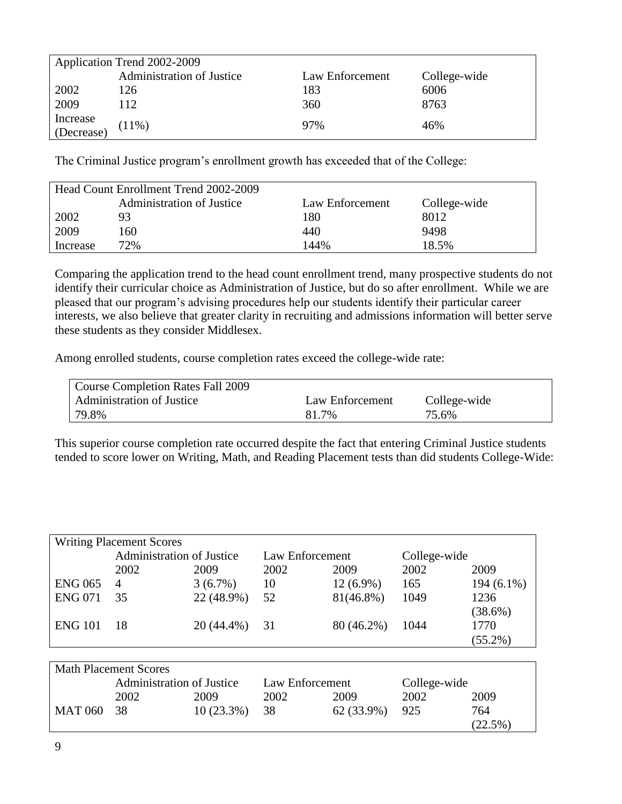|                        | Application Trend 2002-2009      |                 |              |  |  |  |  |  |  |  |  |
|------------------------|----------------------------------|-----------------|--------------|--|--|--|--|--|--|--|--|
|                        | <b>Administration of Justice</b> | Law Enforcement | College-wide |  |  |  |  |  |  |  |  |
| 2002                   | 126                              | 183             | 6006         |  |  |  |  |  |  |  |  |
| 2009                   | 112                              | 360             | 8763         |  |  |  |  |  |  |  |  |
|                        |                                  | 97%             | 46%          |  |  |  |  |  |  |  |  |
| Increase<br>(Decrease) | (11%)                            |                 |              |  |  |  |  |  |  |  |  |

The Criminal Justice program's enrollment growth has exceeded that of the College:

| Head Count Enrollment Trend 2002-2009 |                                  |                 |              |  |  |  |  |  |  |  |
|---------------------------------------|----------------------------------|-----------------|--------------|--|--|--|--|--|--|--|
|                                       | <b>Administration of Justice</b> | Law Enforcement | College-wide |  |  |  |  |  |  |  |
| 2002                                  | 93                               | 180             | 8012         |  |  |  |  |  |  |  |
| 2009                                  | 160.                             | 440             | 9498         |  |  |  |  |  |  |  |
| Increase                              | 72%                              | 144%            | 18.5%        |  |  |  |  |  |  |  |

Comparing the application trend to the head count enrollment trend, many prospective students do not identify their curricular choice as Administration of Justice, but do so after enrollment. While we are pleased that our program's advising procedures help our students identify their particular career interests, we also believe that greater clarity in recruiting and admissions information will better serve these students as they consider Middlesex.

Among enrolled students, course completion rates exceed the college-wide rate:

| Course Completion Rates Fall 2009 |                 |              |
|-----------------------------------|-----------------|--------------|
| <b>Administration of Justice</b>  | Law Enforcement | College-wide |
| 79.8%                             | 81.7%           | 75.6%        |

This superior course completion rate occurred despite the fact that entering Criminal Justice students tended to score lower on Writing, Math, and Reading Placement tests than did students College-Wide:

|                | <b>Writing Placement Scores</b>  |                 |                 |             |              |              |  |  |  |  |  |
|----------------|----------------------------------|-----------------|-----------------|-------------|--------------|--------------|--|--|--|--|--|
|                | <b>Administration of Justice</b> |                 | Law Enforcement |             | College-wide |              |  |  |  |  |  |
|                | 2002                             | 2009            | 2002            | 2009        | 2002         | 2009         |  |  |  |  |  |
| <b>ENG 065</b> | $\overline{4}$                   | $3(6.7\%)$      | 10              | $12(6.9\%)$ | 165          | $194(6.1\%)$ |  |  |  |  |  |
| <b>ENG 071</b> | 35                               | 22 (48.9%)      | 52              | 81(46.8%)   | 1049         | 1236         |  |  |  |  |  |
|                |                                  |                 |                 |             |              | $(38.6\%)$   |  |  |  |  |  |
| <b>ENG 101</b> | -18                              | $20(44.4\%)$ 31 |                 | 80 (46.2%)  | 1044         | 1770         |  |  |  |  |  |
|                |                                  |                 |                 |             |              | $(55.2\%)$   |  |  |  |  |  |

| <b>Math Placement Scores</b> |                                  |              |                 |            |              |            |  |  |  |
|------------------------------|----------------------------------|--------------|-----------------|------------|--------------|------------|--|--|--|
|                              | <b>Administration of Justice</b> |              | Law Enforcement |            | College-wide |            |  |  |  |
|                              | 2002                             | 2009         | 2002            | 2009       | 2002         | 2009       |  |  |  |
| MAT 060 38                   |                                  | $10(23.3\%)$ | 38              | 62 (33.9%) | 925          | 764        |  |  |  |
|                              |                                  |              |                 |            |              | $(22.5\%)$ |  |  |  |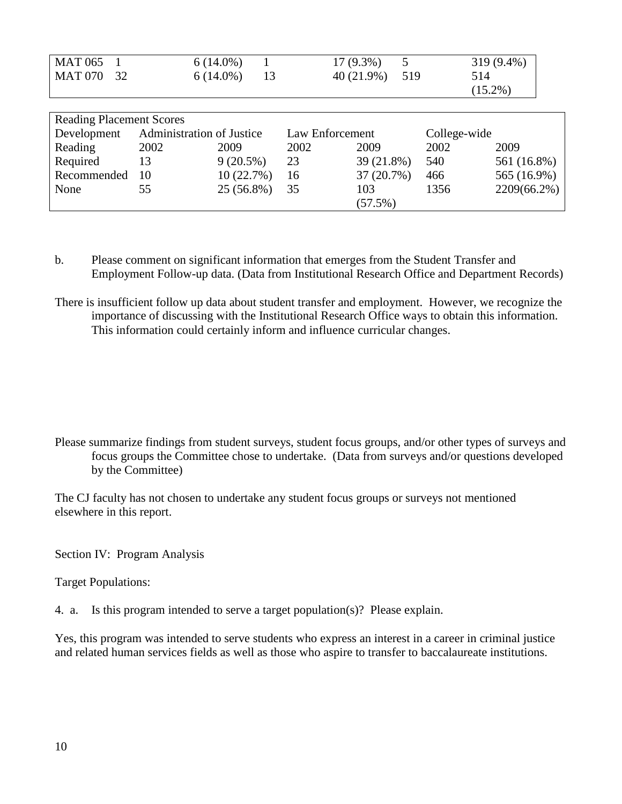| <b>MAT 065</b><br><b>MAT 070</b><br>32 |                                  | $6(14.0\%)$<br>$6(14.0\%)$<br>13 |                 | 5<br>17 (9.3%)<br>40 (21.9%)<br>519 | 514  | 319 (9.4%)<br>$(15.2\%)$ |  |  |
|----------------------------------------|----------------------------------|----------------------------------|-----------------|-------------------------------------|------|--------------------------|--|--|
| <b>Reading Placement Scores</b>        |                                  |                                  |                 |                                     |      |                          |  |  |
| Development                            | <b>Administration of Justice</b> |                                  | Law Enforcement |                                     |      | College-wide             |  |  |
| Reading                                | 2002                             | 2009                             | 2002            | 2009                                | 2002 | 2009                     |  |  |
| Required                               | 13                               | $9(20.5\%)$                      | 23              | 39 (21.8%)                          | 540  | 561 (16.8%)              |  |  |
| Recommended                            | 10                               | 10(22.7%)                        | 16              | 37 (20.7%)                          | 466  | 565 (16.9%)              |  |  |
| None                                   | 55                               | 25 (56.8%)                       | 35              | 103                                 | 1356 | 2209(66.2%)              |  |  |
|                                        |                                  |                                  |                 | (57.5%)                             |      |                          |  |  |

b. Please comment on significant information that emerges from the Student Transfer and Employment Follow-up data. (Data from Institutional Research Office and Department Records)

There is insufficient follow up data about student transfer and employment. However, we recognize the importance of discussing with the Institutional Research Office ways to obtain this information. This information could certainly inform and influence curricular changes.

Please summarize findings from student surveys, student focus groups, and/or other types of surveys and focus groups the Committee chose to undertake. (Data from surveys and/or questions developed by the Committee)

The CJ faculty has not chosen to undertake any student focus groups or surveys not mentioned elsewhere in this report.

Section IV: Program Analysis

Target Populations:

4. a. Is this program intended to serve a target population(s)? Please explain.

Yes, this program was intended to serve students who express an interest in a career in criminal justice and related human services fields as well as those who aspire to transfer to baccalaureate institutions.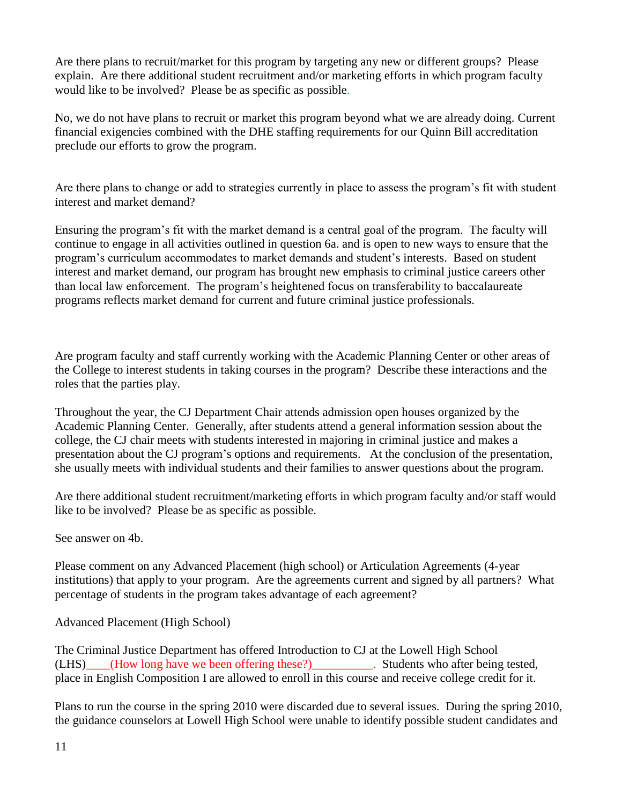Are there plans to recruit/market for this program by targeting any new or different groups? Please explain. Are there additional student recruitment and/or marketing efforts in which program faculty would like to be involved? Please be as specific as possible.

No, we do not have plans to recruit or market this program beyond what we are already doing. Current financial exigencies combined with the DHE staffing requirements for our Quinn Bill accreditation preclude our efforts to grow the program.

Are there plans to change or add to strategies currently in place to assess the program's fit with student interest and market demand?

Ensuring the program's fit with the market demand is a central goal of the program. The faculty will continue to engage in all activities outlined in question 6a. and is open to new ways to ensure that the program's curriculum accommodates to market demands and student's interests. Based on student interest and market demand, our program has brought new emphasis to criminal justice careers other than local law enforcement. The program's heightened focus on transferability to baccalaureate programs reflects market demand for current and future criminal justice professionals.

Are program faculty and staff currently working with the Academic Planning Center or other areas of the College to interest students in taking courses in the program? Describe these interactions and the roles that the parties play.

Throughout the year, the CJ Department Chair attends admission open houses organized by the Academic Planning Center. Generally, after students attend a general information session about the college, the CJ chair meets with students interested in majoring in criminal justice and makes a presentation about the CJ program's options and requirements. At the conclusion of the presentation, she usually meets with individual students and their families to answer questions about the program.

Are there additional student recruitment/marketing efforts in which program faculty and/or staff would like to be involved? Please be as specific as possible.

See answer on 4b.

Please comment on any Advanced Placement (high school) or Articulation Agreements (4-year institutions) that apply to your program. Are the agreements current and signed by all partners? What percentage of students in the program takes advantage of each agreement?

Advanced Placement (High School)

The Criminal Justice Department has offered Introduction to CJ at the Lowell High School (LHS)\_\_\_\_(How long have we been offering these?)\_\_\_\_\_\_\_\_\_\_. Students who after being tested, place in English Composition I are allowed to enroll in this course and receive college credit for it.

Plans to run the course in the spring 2010 were discarded due to several issues. During the spring 2010, the guidance counselors at Lowell High School were unable to identify possible student candidates and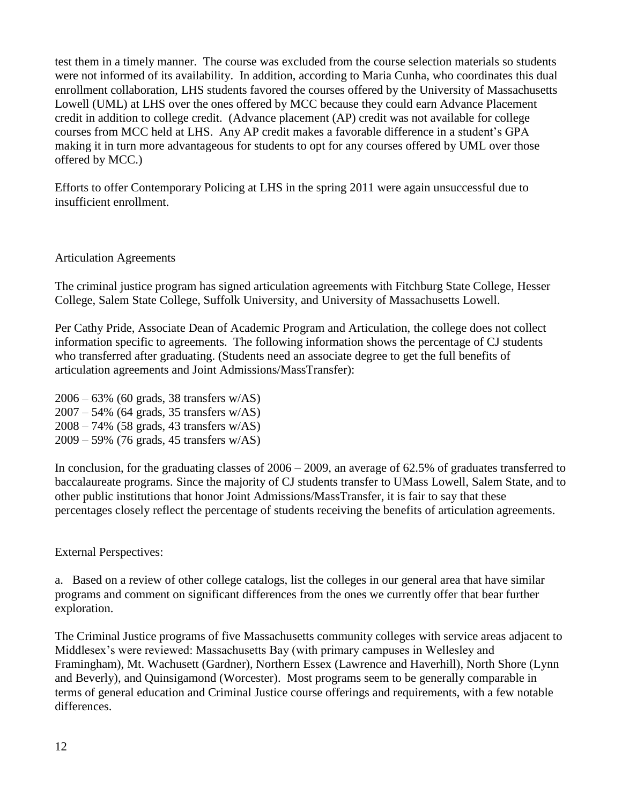test them in a timely manner. The course was excluded from the course selection materials so students were not informed of its availability. In addition, according to Maria Cunha, who coordinates this dual enrollment collaboration, LHS students favored the courses offered by the University of Massachusetts Lowell (UML) at LHS over the ones offered by MCC because they could earn Advance Placement credit in addition to college credit. (Advance placement (AP) credit was not available for college courses from MCC held at LHS. Any AP credit makes a favorable difference in a student's GPA making it in turn more advantageous for students to opt for any courses offered by UML over those offered by MCC.)

Efforts to offer Contemporary Policing at LHS in the spring 2011 were again unsuccessful due to insufficient enrollment.

## Articulation Agreements

The criminal justice program has signed articulation agreements with Fitchburg State College, Hesser College, Salem State College, Suffolk University, and University of Massachusetts Lowell.

Per Cathy Pride, Associate Dean of Academic Program and Articulation, the college does not collect information specific to agreements. The following information shows the percentage of CJ students who transferred after graduating. (Students need an associate degree to get the full benefits of articulation agreements and Joint Admissions/MassTransfer):

2006 – 63% (60 grads, 38 transfers w/AS) 2007 – 54% (64 grads, 35 transfers w/AS) 2008 – 74% (58 grads, 43 transfers w/AS) 2009 – 59% (76 grads, 45 transfers w/AS)

In conclusion, for the graduating classes of 2006 – 2009, an average of 62.5% of graduates transferred to baccalaureate programs. Since the majority of CJ students transfer to UMass Lowell, Salem State, and to other public institutions that honor Joint Admissions/MassTransfer, it is fair to say that these percentages closely reflect the percentage of students receiving the benefits of articulation agreements.

External Perspectives:

a. Based on a review of other college catalogs, list the colleges in our general area that have similar programs and comment on significant differences from the ones we currently offer that bear further exploration.

The Criminal Justice programs of five Massachusetts community colleges with service areas adjacent to Middlesex's were reviewed: Massachusetts Bay (with primary campuses in Wellesley and Framingham), Mt. Wachusett (Gardner), Northern Essex (Lawrence and Haverhill), North Shore (Lynn and Beverly), and Quinsigamond (Worcester). Most programs seem to be generally comparable in terms of general education and Criminal Justice course offerings and requirements, with a few notable differences.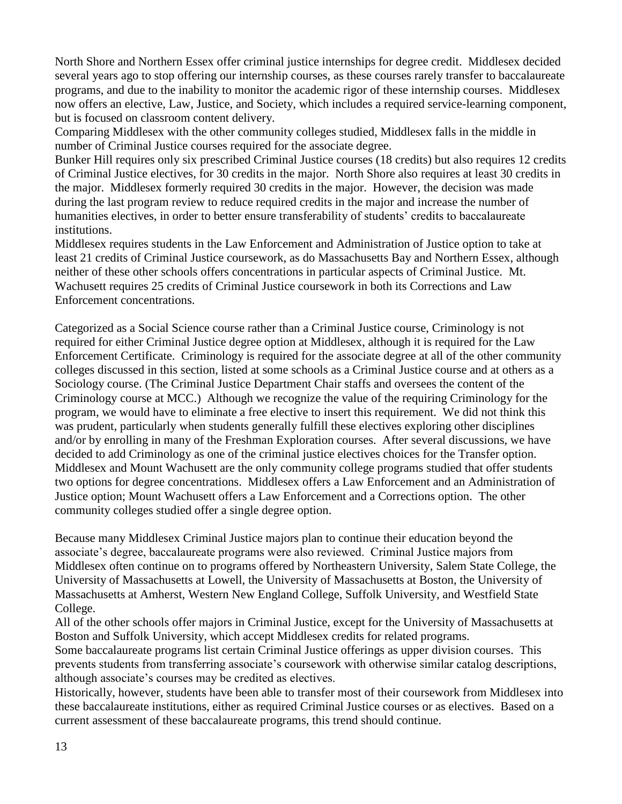North Shore and Northern Essex offer criminal justice internships for degree credit. Middlesex decided several years ago to stop offering our internship courses, as these courses rarely transfer to baccalaureate programs, and due to the inability to monitor the academic rigor of these internship courses. Middlesex now offers an elective, Law, Justice, and Society, which includes a required service-learning component, but is focused on classroom content delivery.

Comparing Middlesex with the other community colleges studied, Middlesex falls in the middle in number of Criminal Justice courses required for the associate degree.

Bunker Hill requires only six prescribed Criminal Justice courses (18 credits) but also requires 12 credits of Criminal Justice electives, for 30 credits in the major. North Shore also requires at least 30 credits in the major. Middlesex formerly required 30 credits in the major. However, the decision was made during the last program review to reduce required credits in the major and increase the number of humanities electives, in order to better ensure transferability of students' credits to baccalaureate institutions.

Middlesex requires students in the Law Enforcement and Administration of Justice option to take at least 21 credits of Criminal Justice coursework, as do Massachusetts Bay and Northern Essex, although neither of these other schools offers concentrations in particular aspects of Criminal Justice. Mt. Wachusett requires 25 credits of Criminal Justice coursework in both its Corrections and Law Enforcement concentrations.

Categorized as a Social Science course rather than a Criminal Justice course, Criminology is not required for either Criminal Justice degree option at Middlesex, although it is required for the Law Enforcement Certificate. Criminology is required for the associate degree at all of the other community colleges discussed in this section, listed at some schools as a Criminal Justice course and at others as a Sociology course. (The Criminal Justice Department Chair staffs and oversees the content of the Criminology course at MCC.) Although we recognize the value of the requiring Criminology for the program, we would have to eliminate a free elective to insert this requirement. We did not think this was prudent, particularly when students generally fulfill these electives exploring other disciplines and/or by enrolling in many of the Freshman Exploration courses. After several discussions, we have decided to add Criminology as one of the criminal justice electives choices for the Transfer option. Middlesex and Mount Wachusett are the only community college programs studied that offer students two options for degree concentrations. Middlesex offers a Law Enforcement and an Administration of Justice option; Mount Wachusett offers a Law Enforcement and a Corrections option. The other community colleges studied offer a single degree option.

Because many Middlesex Criminal Justice majors plan to continue their education beyond the associate's degree, baccalaureate programs were also reviewed. Criminal Justice majors from Middlesex often continue on to programs offered by Northeastern University, Salem State College, the University of Massachusetts at Lowell, the University of Massachusetts at Boston, the University of Massachusetts at Amherst, Western New England College, Suffolk University, and Westfield State College.

All of the other schools offer majors in Criminal Justice, except for the University of Massachusetts at Boston and Suffolk University, which accept Middlesex credits for related programs.

Some baccalaureate programs list certain Criminal Justice offerings as upper division courses. This prevents students from transferring associate's coursework with otherwise similar catalog descriptions, although associate's courses may be credited as electives.

Historically, however, students have been able to transfer most of their coursework from Middlesex into these baccalaureate institutions, either as required Criminal Justice courses or as electives. Based on a current assessment of these baccalaureate programs, this trend should continue.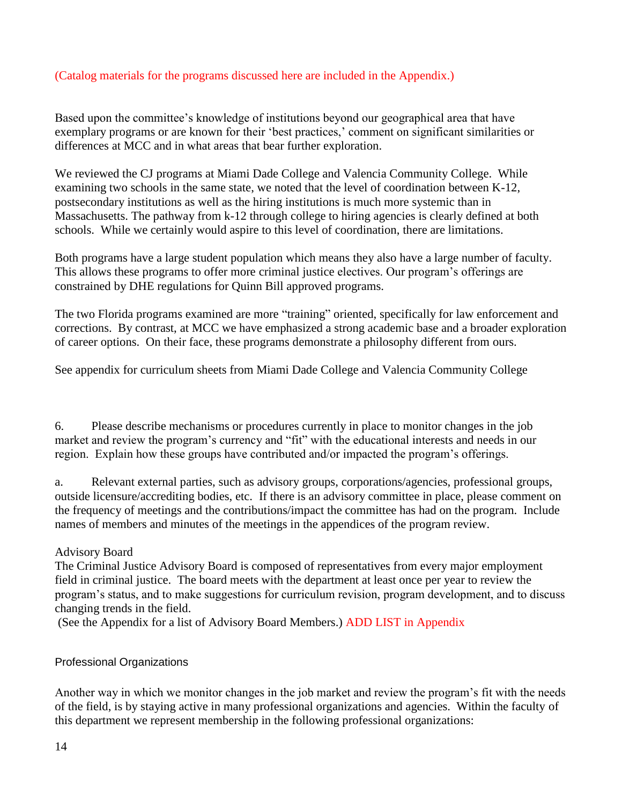# (Catalog materials for the programs discussed here are included in the Appendix.)

Based upon the committee's knowledge of institutions beyond our geographical area that have exemplary programs or are known for their 'best practices,' comment on significant similarities or differences at MCC and in what areas that bear further exploration.

We reviewed the CJ programs at Miami Dade College and Valencia Community College. While examining two schools in the same state, we noted that the level of coordination between K-12, postsecondary institutions as well as the hiring institutions is much more systemic than in Massachusetts. The pathway from k-12 through college to hiring agencies is clearly defined at both schools. While we certainly would aspire to this level of coordination, there are limitations.

Both programs have a large student population which means they also have a large number of faculty. This allows these programs to offer more criminal justice electives. Our program's offerings are constrained by DHE regulations for Quinn Bill approved programs.

The two Florida programs examined are more "training" oriented, specifically for law enforcement and corrections. By contrast, at MCC we have emphasized a strong academic base and a broader exploration of career options. On their face, these programs demonstrate a philosophy different from ours.

See appendix for curriculum sheets from Miami Dade College and Valencia Community College

6. Please describe mechanisms or procedures currently in place to monitor changes in the job market and review the program's currency and "fit" with the educational interests and needs in our region. Explain how these groups have contributed and/or impacted the program's offerings.

a. Relevant external parties, such as advisory groups, corporations/agencies, professional groups, outside licensure/accrediting bodies, etc. If there is an advisory committee in place, please comment on the frequency of meetings and the contributions/impact the committee has had on the program. Include names of members and minutes of the meetings in the appendices of the program review.

# Advisory Board

The Criminal Justice Advisory Board is composed of representatives from every major employment field in criminal justice. The board meets with the department at least once per year to review the program's status, and to make suggestions for curriculum revision, program development, and to discuss changing trends in the field.

(See the Appendix for a list of Advisory Board Members.) ADD LIST in Appendix

## Professional Organizations

Another way in which we monitor changes in the job market and review the program's fit with the needs of the field, is by staying active in many professional organizations and agencies. Within the faculty of this department we represent membership in the following professional organizations: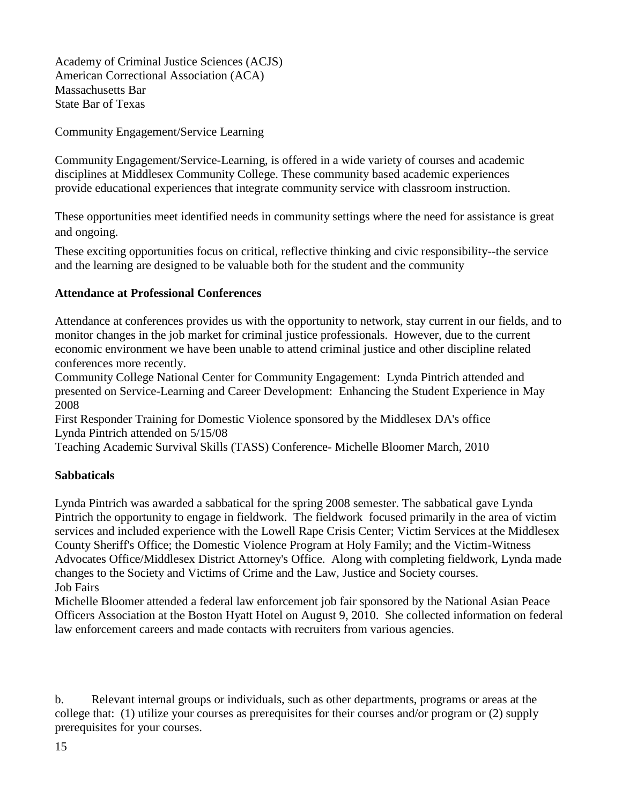Academy of Criminal Justice Sciences (ACJS) American Correctional Association (ACA) Massachusetts Bar State Bar of Texas

Community Engagement/Service Learning

Community Engagement/Service-Learning, is offered in a wide variety of courses and academic disciplines at Middlesex Community College. These community based academic experiences provide educational experiences that integrate community service with classroom instruction.

These opportunities meet identified needs in community settings where the need for assistance is great and ongoing.

These exciting opportunities focus on critical, reflective thinking and civic responsibility--the service and the learning are designed to be valuable both for the student and the community

## **Attendance at Professional Conferences**

Attendance at conferences provides us with the opportunity to network, stay current in our fields, and to monitor changes in the job market for criminal justice professionals. However, due to the current economic environment we have been unable to attend criminal justice and other discipline related conferences more recently.

Community College National Center for Community Engagement: Lynda Pintrich attended and presented on Service-Learning and Career Development: Enhancing the Student Experience in May 2008

First Responder Training for Domestic Violence sponsored by the Middlesex DA's office Lynda Pintrich attended on 5/15/08

Teaching Academic Survival Skills (TASS) Conference- Michelle Bloomer March, 2010

## **Sabbaticals**

Lynda Pintrich was awarded a sabbatical for the spring 2008 semester. The sabbatical gave Lynda Pintrich the opportunity to engage in fieldwork. The fieldwork focused primarily in the area of victim services and included experience with the Lowell Rape Crisis Center; Victim Services at the Middlesex County Sheriff's Office; the Domestic Violence Program at Holy Family; and the Victim-Witness Advocates Office/Middlesex District Attorney's Office. Along with completing fieldwork, Lynda made changes to the Society and Victims of Crime and the Law, Justice and Society courses. Job Fairs

Michelle Bloomer attended a federal law enforcement job fair sponsored by the National Asian Peace Officers Association at the Boston Hyatt Hotel on August 9, 2010. She collected information on federal law enforcement careers and made contacts with recruiters from various agencies.

b. Relevant internal groups or individuals, such as other departments, programs or areas at the college that: (1) utilize your courses as prerequisites for their courses and/or program or (2) supply prerequisites for your courses.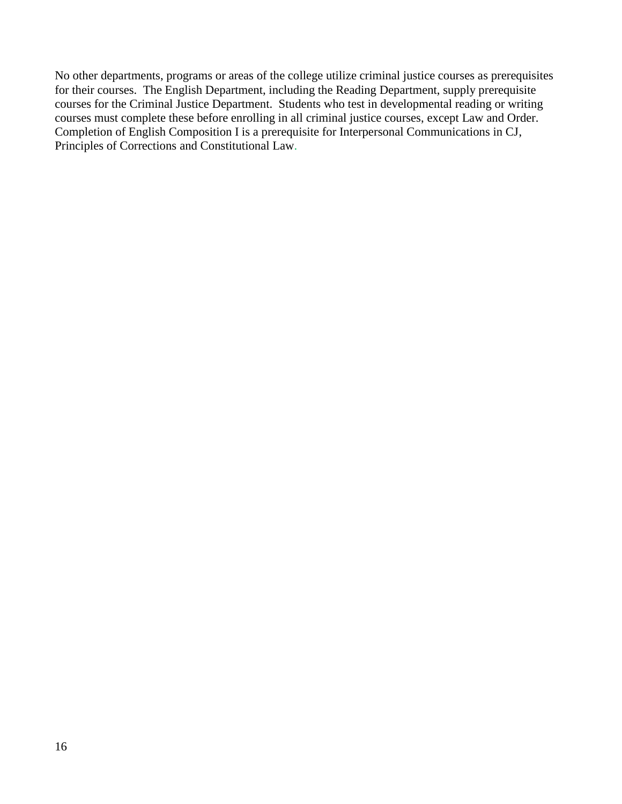No other departments, programs or areas of the college utilize criminal justice courses as prerequisites for their courses. The English Department, including the Reading Department, supply prerequisite courses for the Criminal Justice Department. Students who test in developmental reading or writing courses must complete these before enrolling in all criminal justice courses, except Law and Order. Completion of English Composition I is a prerequisite for Interpersonal Communications in CJ, Principles of Corrections and Constitutional Law.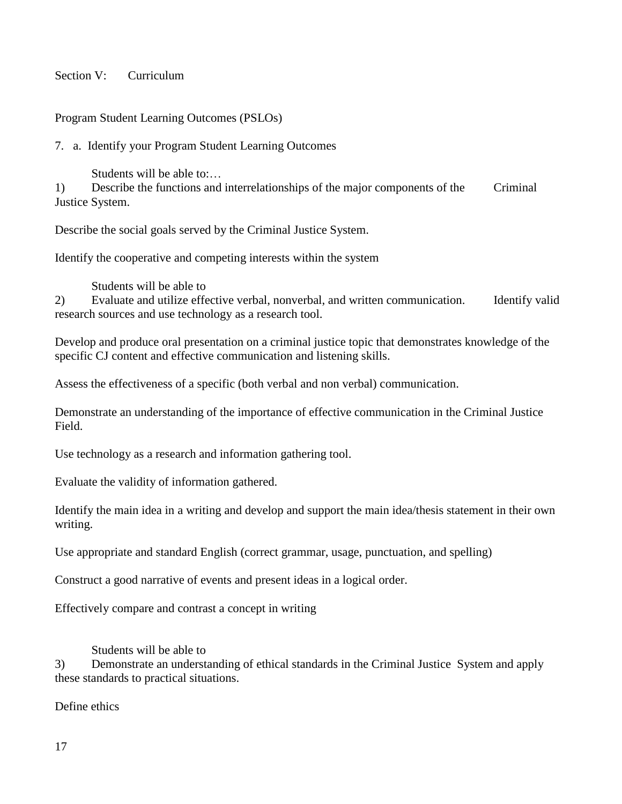## Section V<sup>:</sup> Curriculum

Program Student Learning Outcomes (PSLOs)

7. a. Identify your Program Student Learning Outcomes

Students will be able to:…

1) Describe the functions and interrelationships of the major components of the Criminal Justice System.

Describe the social goals served by the Criminal Justice System.

Identify the cooperative and competing interests within the system

Students will be able to

2) Evaluate and utilize effective verbal, nonverbal, and written communication. Identify valid research sources and use technology as a research tool.

Develop and produce oral presentation on a criminal justice topic that demonstrates knowledge of the specific CJ content and effective communication and listening skills.

Assess the effectiveness of a specific (both verbal and non verbal) communication.

Demonstrate an understanding of the importance of effective communication in the Criminal Justice Field.

Use technology as a research and information gathering tool.

Evaluate the validity of information gathered.

Identify the main idea in a writing and develop and support the main idea/thesis statement in their own writing.

Use appropriate and standard English (correct grammar, usage, punctuation, and spelling)

Construct a good narrative of events and present ideas in a logical order.

Effectively compare and contrast a concept in writing

Students will be able to

3) Demonstrate an understanding of ethical standards in the Criminal Justice System and apply these standards to practical situations.

Define ethics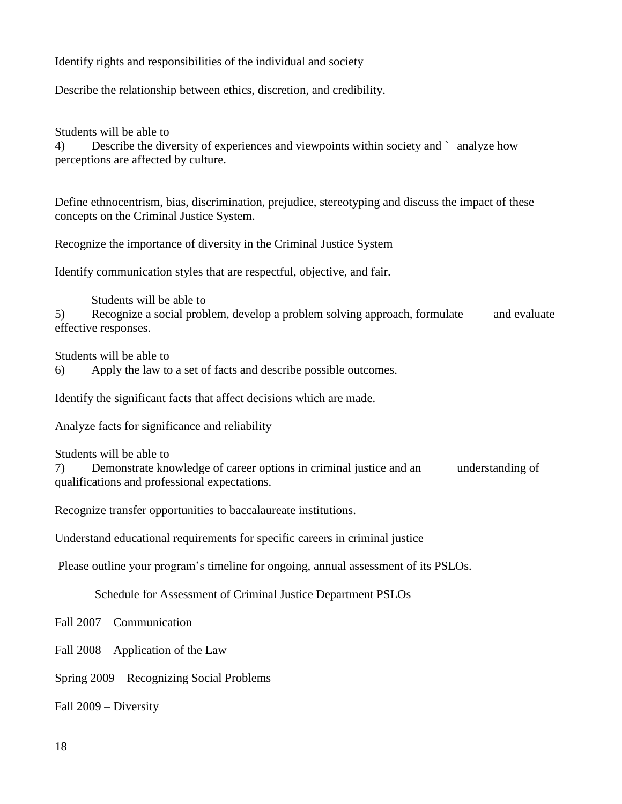Identify rights and responsibilities of the individual and society

Describe the relationship between ethics, discretion, and credibility.

Students will be able to

4) Describe the diversity of experiences and viewpoints within society and ` analyze how perceptions are affected by culture.

Define ethnocentrism, bias, discrimination, prejudice, stereotyping and discuss the impact of these concepts on the Criminal Justice System.

Recognize the importance of diversity in the Criminal Justice System

Identify communication styles that are respectful, objective, and fair.

Students will be able to

5) Recognize a social problem, develop a problem solving approach, formulate and evaluate effective responses.

Students will be able to

6) Apply the law to a set of facts and describe possible outcomes.

Identify the significant facts that affect decisions which are made.

Analyze facts for significance and reliability

Students will be able to

7) Demonstrate knowledge of career options in criminal justice and an understanding of qualifications and professional expectations.

Recognize transfer opportunities to baccalaureate institutions.

Understand educational requirements for specific careers in criminal justice

Please outline your program's timeline for ongoing, annual assessment of its PSLOs.

Schedule for Assessment of Criminal Justice Department PSLOs

Fall 2007 – Communication

Fall 2008 – Application of the Law

Spring 2009 – Recognizing Social Problems

Fall 2009 – Diversity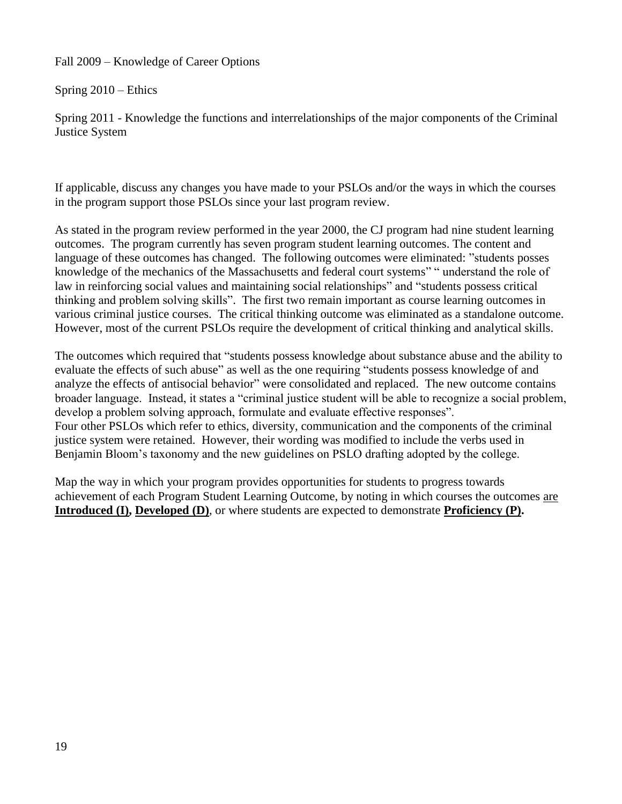Fall 2009 – Knowledge of Career Options

Spring 2010 – Ethics

Spring 2011 - Knowledge the functions and interrelationships of the major components of the Criminal Justice System

If applicable, discuss any changes you have made to your PSLOs and/or the ways in which the courses in the program support those PSLOs since your last program review.

As stated in the program review performed in the year 2000, the CJ program had nine student learning outcomes. The program currently has seven program student learning outcomes. The content and language of these outcomes has changed. The following outcomes were eliminated: "students posses knowledge of the mechanics of the Massachusetts and federal court systems" "understand the role of law in reinforcing social values and maintaining social relationships" and "students possess critical thinking and problem solving skills". The first two remain important as course learning outcomes in various criminal justice courses. The critical thinking outcome was eliminated as a standalone outcome. However, most of the current PSLOs require the development of critical thinking and analytical skills.

The outcomes which required that "students possess knowledge about substance abuse and the ability to evaluate the effects of such abuse" as well as the one requiring "students possess knowledge of and analyze the effects of antisocial behavior" were consolidated and replaced. The new outcome contains broader language. Instead, it states a "criminal justice student will be able to recognize a social problem, develop a problem solving approach, formulate and evaluate effective responses". Four other PSLOs which refer to ethics, diversity, communication and the components of the criminal justice system were retained. However, their wording was modified to include the verbs used in Benjamin Bloom's taxonomy and the new guidelines on PSLO drafting adopted by the college.

Map the way in which your program provides opportunities for students to progress towards achievement of each Program Student Learning Outcome, by noting in which courses the outcomes are **Introduced (I), Developed (D)**, or where students are expected to demonstrate **Proficiency (P).**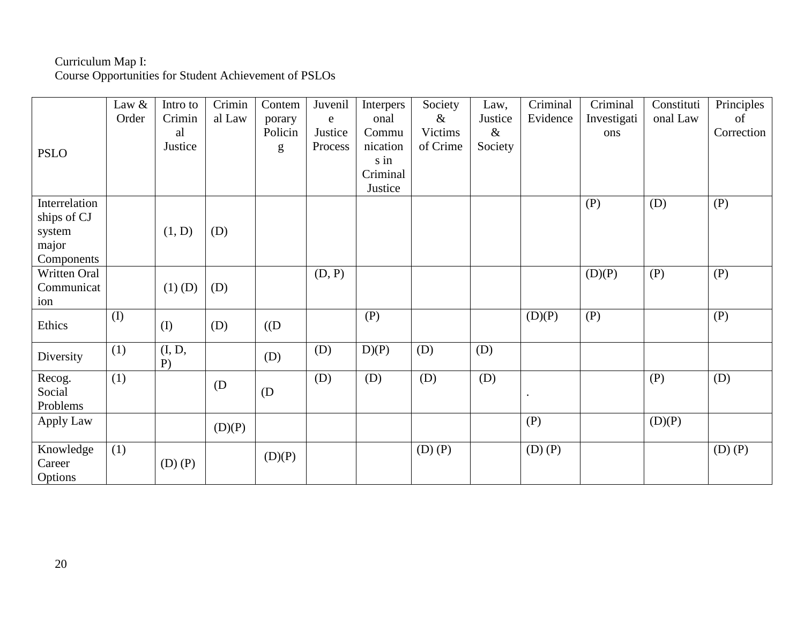## Curriculum Map I:

Course Opportunities for Student Achievement of PSLOs

| <b>PSLO</b>                                                   | Law &<br>Order | Intro to<br>Crimin<br>al<br>Justice | Crimin<br>al Law | Contem<br>porary<br>Policin<br>g | Juvenil<br>$\mathbf e$<br>Justice<br>Process | Interpers<br>onal<br>Commu<br>nication<br>s in<br>Criminal<br>Justice | Society<br>$\&$<br>Victims<br>of Crime | Law,<br>Justice<br>$\&$<br>Society | Criminal<br>Evidence | Criminal<br>Investigati<br>ons | Constituti<br>onal Law | Principles<br>of<br>Correction |
|---------------------------------------------------------------|----------------|-------------------------------------|------------------|----------------------------------|----------------------------------------------|-----------------------------------------------------------------------|----------------------------------------|------------------------------------|----------------------|--------------------------------|------------------------|--------------------------------|
| Interrelation<br>ships of CJ<br>system<br>major<br>Components |                | (1, D)                              | (D)              |                                  |                                              |                                                                       |                                        |                                    |                      | (P)                            | (D)                    | (P)                            |
| Written Oral<br>Communicat<br>ion                             |                | $(1)$ (D)                           | (D)              |                                  | (D, P)                                       |                                                                       |                                        |                                    |                      | (D)(P)                         | (P)                    | (P)                            |
| Ethics                                                        | $($ $\Gamma$   | (I)                                 | (D)              | $($ (D                           |                                              | (P)                                                                   |                                        |                                    | (D)(P)               | (P)                            |                        | (P)                            |
| Diversity                                                     | (1)            | (I, D,<br>$P$ )                     |                  | (D)                              | (D)                                          | D(P)                                                                  | (D)                                    | (D)                                |                      |                                |                        |                                |
| Recog.<br>Social<br>Problems                                  | (1)            |                                     | (D)              | (D)                              | (D)                                          | (D)                                                                   | (D)                                    | (D)                                |                      |                                | (P)                    | (D)                            |
| Apply Law                                                     |                |                                     | (D)(P)           |                                  |                                              |                                                                       |                                        |                                    | (P)                  |                                | (D)(P)                 |                                |
| Knowledge<br>Career<br>Options                                | (1)            | $(D)$ $(P)$                         |                  | (D)(P)                           |                                              |                                                                       | $(D)$ $(P)$                            |                                    | $(D)$ $(P)$          |                                |                        | $(D)$ $(P)$                    |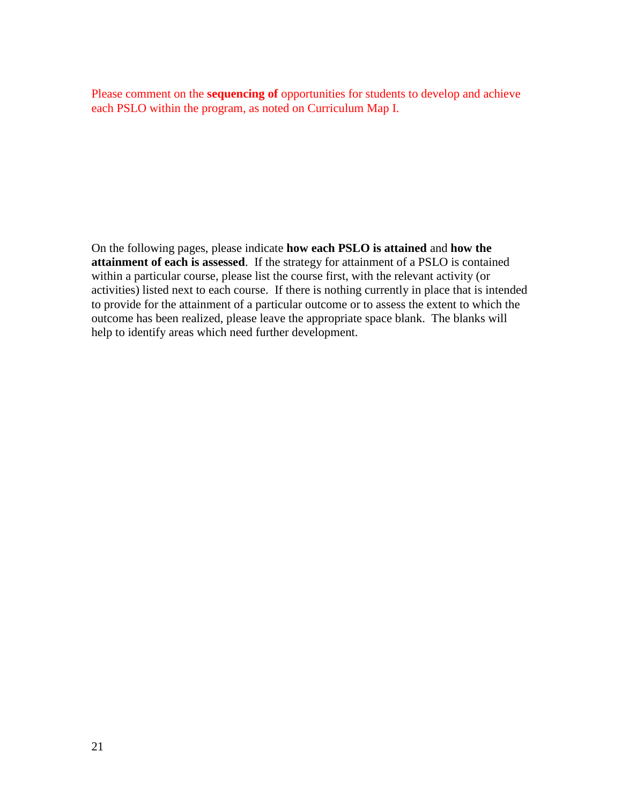Please comment on the **sequencing of** opportunities for students to develop and achieve each PSLO within the program, as noted on Curriculum Map I.

On the following pages, please indicate **how each PSLO is attained** and **how the attainment of each is assessed**. If the strategy for attainment of a PSLO is contained within a particular course, please list the course first, with the relevant activity (or activities) listed next to each course. If there is nothing currently in place that is intended to provide for the attainment of a particular outcome or to assess the extent to which the outcome has been realized, please leave the appropriate space blank. The blanks will help to identify areas which need further development.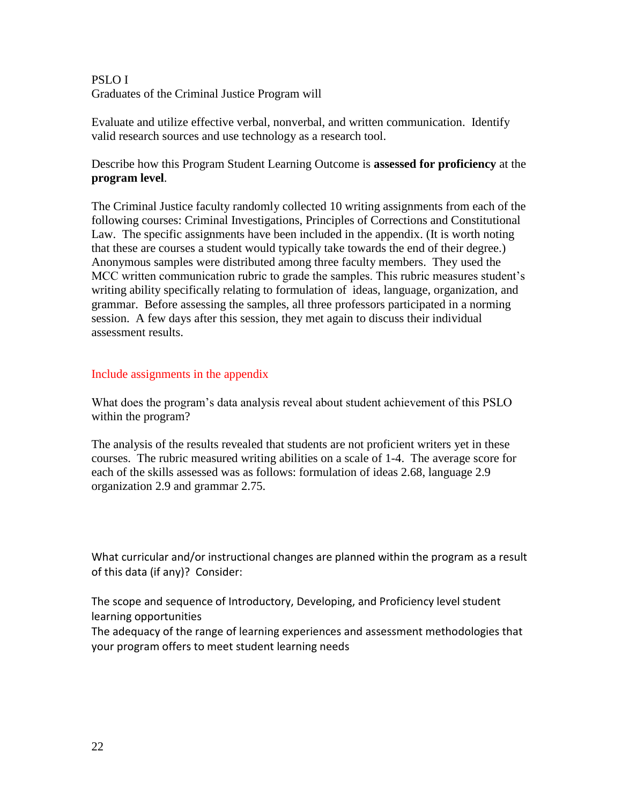# PSLO I Graduates of the Criminal Justice Program will

Evaluate and utilize effective verbal, nonverbal, and written communication. Identify valid research sources and use technology as a research tool.

Describe how this Program Student Learning Outcome is **assessed for proficiency** at the **program level**.

The Criminal Justice faculty randomly collected 10 writing assignments from each of the following courses: Criminal Investigations, Principles of Corrections and Constitutional Law. The specific assignments have been included in the appendix. (It is worth noting that these are courses a student would typically take towards the end of their degree.) Anonymous samples were distributed among three faculty members. They used the MCC written communication rubric to grade the samples. This rubric measures student's writing ability specifically relating to formulation of ideas, language, organization, and grammar. Before assessing the samples, all three professors participated in a norming session. A few days after this session, they met again to discuss their individual assessment results.

# Include assignments in the appendix

What does the program's data analysis reveal about student achievement of this PSLO within the program?

The analysis of the results revealed that students are not proficient writers yet in these courses. The rubric measured writing abilities on a scale of 1-4. The average score for each of the skills assessed was as follows: formulation of ideas 2.68, language 2.9 organization 2.9 and grammar 2.75.

What curricular and/or instructional changes are planned within the program as a result of this data (if any)? Consider:

The scope and sequence of Introductory, Developing, and Proficiency level student learning opportunities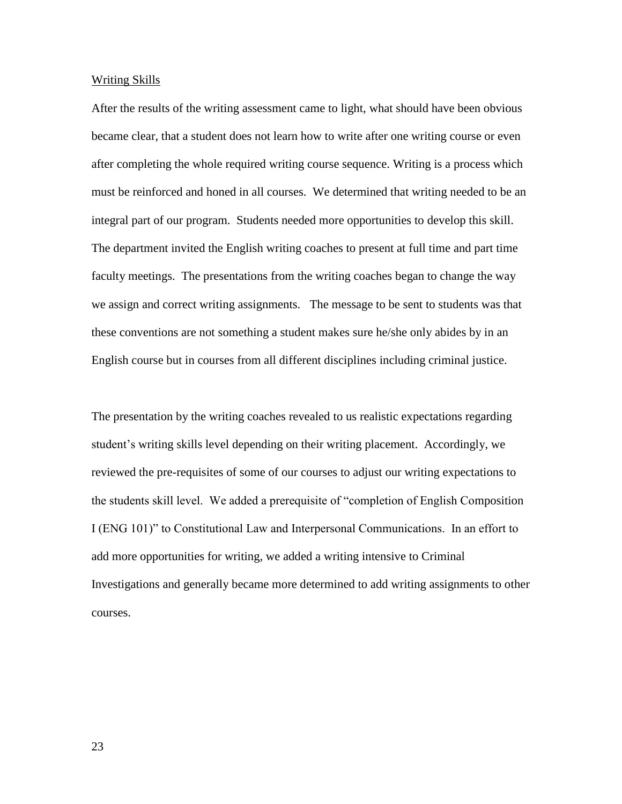#### Writing Skills

After the results of the writing assessment came to light, what should have been obvious became clear, that a student does not learn how to write after one writing course or even after completing the whole required writing course sequence. Writing is a process which must be reinforced and honed in all courses. We determined that writing needed to be an integral part of our program. Students needed more opportunities to develop this skill. The department invited the English writing coaches to present at full time and part time faculty meetings. The presentations from the writing coaches began to change the way we assign and correct writing assignments. The message to be sent to students was that these conventions are not something a student makes sure he/she only abides by in an English course but in courses from all different disciplines including criminal justice.

The presentation by the writing coaches revealed to us realistic expectations regarding student's writing skills level depending on their writing placement. Accordingly, we reviewed the pre-requisites of some of our courses to adjust our writing expectations to the students skill level. We added a prerequisite of "completion of English Composition" I (ENG 101)" to Constitutional Law and Interpersonal Communications. In an effort to add more opportunities for writing, we added a writing intensive to Criminal Investigations and generally became more determined to add writing assignments to other courses.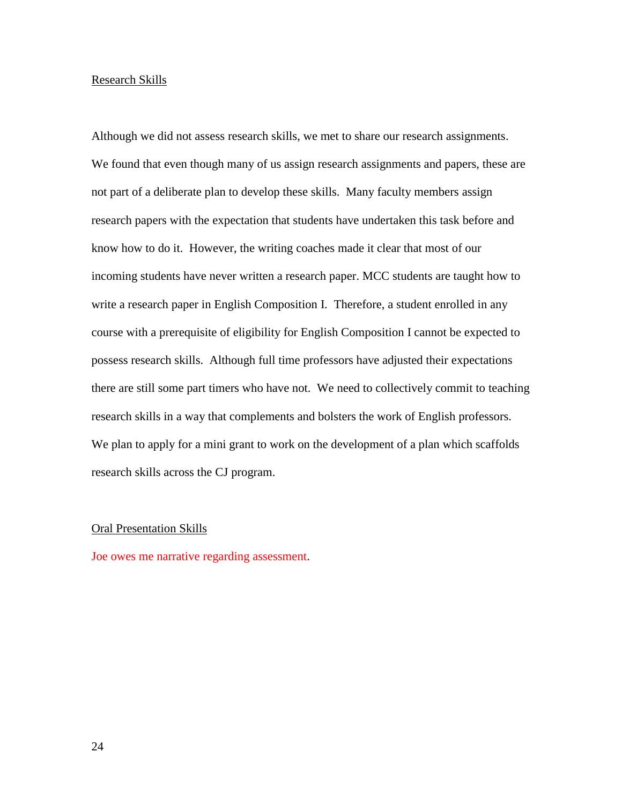#### Research Skills

Although we did not assess research skills, we met to share our research assignments. We found that even though many of us assign research assignments and papers, these are not part of a deliberate plan to develop these skills. Many faculty members assign research papers with the expectation that students have undertaken this task before and know how to do it. However, the writing coaches made it clear that most of our incoming students have never written a research paper. MCC students are taught how to write a research paper in English Composition I. Therefore, a student enrolled in any course with a prerequisite of eligibility for English Composition I cannot be expected to possess research skills. Although full time professors have adjusted their expectations there are still some part timers who have not. We need to collectively commit to teaching research skills in a way that complements and bolsters the work of English professors. We plan to apply for a mini grant to work on the development of a plan which scaffolds research skills across the CJ program.

#### Oral Presentation Skills

Joe owes me narrative regarding assessment.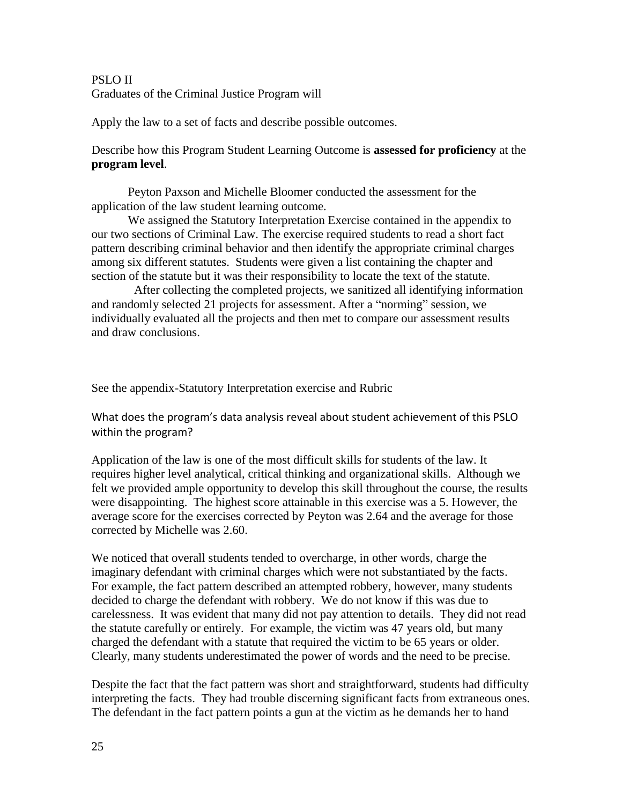# PSLO II Graduates of the Criminal Justice Program will

Apply the law to a set of facts and describe possible outcomes.

# Describe how this Program Student Learning Outcome is **assessed for proficiency** at the **program level**.

Peyton Paxson and Michelle Bloomer conducted the assessment for the application of the law student learning outcome.

We assigned the Statutory Interpretation Exercise contained in the appendix to our two sections of Criminal Law. The exercise required students to read a short fact pattern describing criminal behavior and then identify the appropriate criminal charges among six different statutes. Students were given a list containing the chapter and section of the statute but it was their responsibility to locate the text of the statute.

 After collecting the completed projects, we sanitized all identifying information and randomly selected 21 projects for assessment. After a "norming" session, we individually evaluated all the projects and then met to compare our assessment results and draw conclusions.

See the appendix-Statutory Interpretation exercise and Rubric

What does the program's data analysis reveal about student achievement of this PSLO within the program?

Application of the law is one of the most difficult skills for students of the law. It requires higher level analytical, critical thinking and organizational skills. Although we felt we provided ample opportunity to develop this skill throughout the course, the results were disappointing. The highest score attainable in this exercise was a 5. However, the average score for the exercises corrected by Peyton was 2.64 and the average for those corrected by Michelle was 2.60.

We noticed that overall students tended to overcharge, in other words, charge the imaginary defendant with criminal charges which were not substantiated by the facts. For example, the fact pattern described an attempted robbery, however, many students decided to charge the defendant with robbery. We do not know if this was due to carelessness. It was evident that many did not pay attention to details. They did not read the statute carefully or entirely. For example, the victim was 47 years old, but many charged the defendant with a statute that required the victim to be 65 years or older. Clearly, many students underestimated the power of words and the need to be precise.

Despite the fact that the fact pattern was short and straightforward, students had difficulty interpreting the facts. They had trouble discerning significant facts from extraneous ones. The defendant in the fact pattern points a gun at the victim as he demands her to hand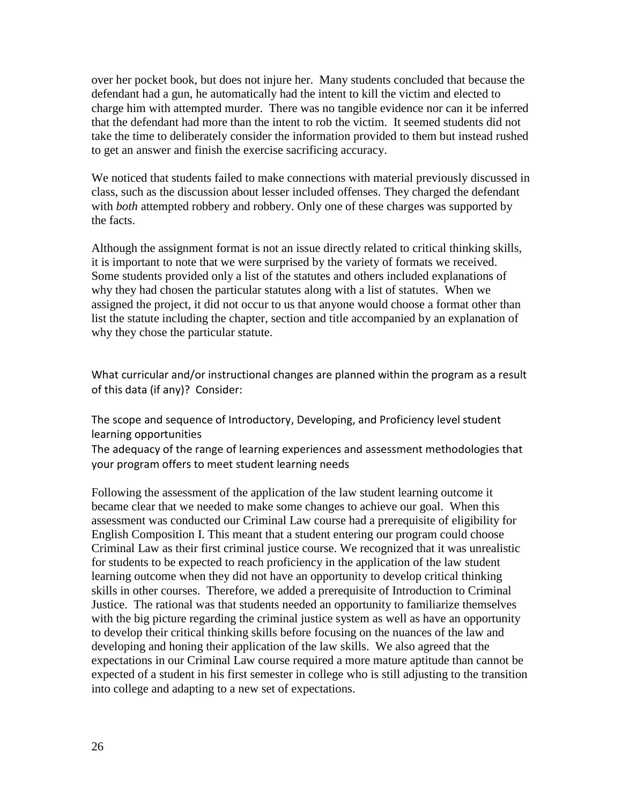over her pocket book, but does not injure her. Many students concluded that because the defendant had a gun, he automatically had the intent to kill the victim and elected to charge him with attempted murder. There was no tangible evidence nor can it be inferred that the defendant had more than the intent to rob the victim. It seemed students did not take the time to deliberately consider the information provided to them but instead rushed to get an answer and finish the exercise sacrificing accuracy.

We noticed that students failed to make connections with material previously discussed in class, such as the discussion about lesser included offenses. They charged the defendant with *both* attempted robbery and robbery. Only one of these charges was supported by the facts.

Although the assignment format is not an issue directly related to critical thinking skills, it is important to note that we were surprised by the variety of formats we received. Some students provided only a list of the statutes and others included explanations of why they had chosen the particular statutes along with a list of statutes. When we assigned the project, it did not occur to us that anyone would choose a format other than list the statute including the chapter, section and title accompanied by an explanation of why they chose the particular statute.

What curricular and/or instructional changes are planned within the program as a result of this data (if any)? Consider:

The scope and sequence of Introductory, Developing, and Proficiency level student learning opportunities

The adequacy of the range of learning experiences and assessment methodologies that your program offers to meet student learning needs

Following the assessment of the application of the law student learning outcome it became clear that we needed to make some changes to achieve our goal. When this assessment was conducted our Criminal Law course had a prerequisite of eligibility for English Composition I. This meant that a student entering our program could choose Criminal Law as their first criminal justice course. We recognized that it was unrealistic for students to be expected to reach proficiency in the application of the law student learning outcome when they did not have an opportunity to develop critical thinking skills in other courses. Therefore, we added a prerequisite of Introduction to Criminal Justice. The rational was that students needed an opportunity to familiarize themselves with the big picture regarding the criminal justice system as well as have an opportunity to develop their critical thinking skills before focusing on the nuances of the law and developing and honing their application of the law skills. We also agreed that the expectations in our Criminal Law course required a more mature aptitude than cannot be expected of a student in his first semester in college who is still adjusting to the transition into college and adapting to a new set of expectations.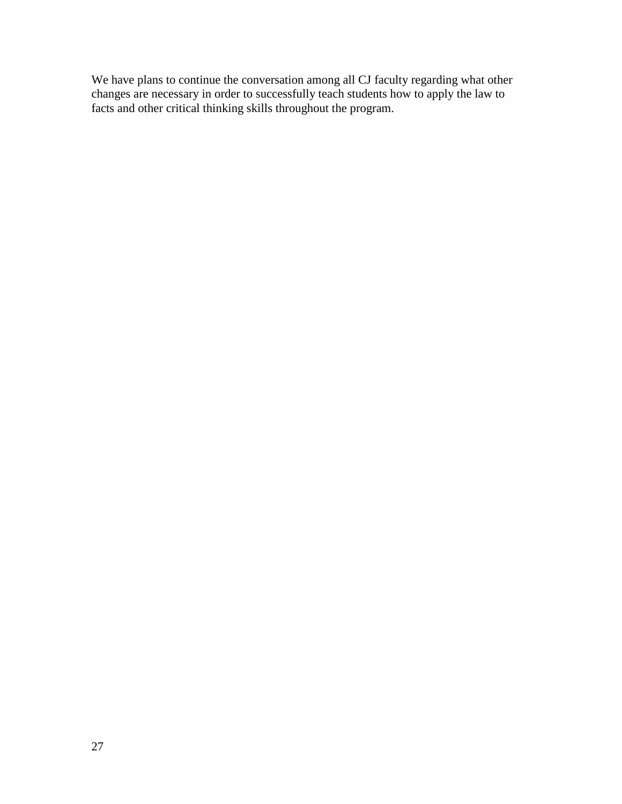We have plans to continue the conversation among all CJ faculty regarding what other changes are necessary in order to successfully teach students how to apply the law to facts and other critical thinking skills throughout the program.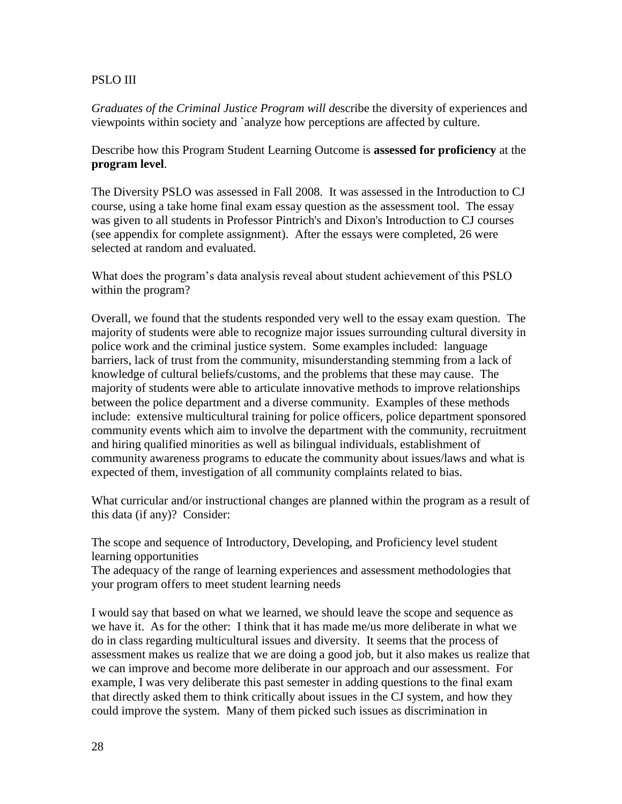## PSLO III

*Graduates of the Criminal Justice Program will d*escribe the diversity of experiences and viewpoints within society and `analyze how perceptions are affected by culture.

Describe how this Program Student Learning Outcome is **assessed for proficiency** at the **program level**.

The Diversity PSLO was assessed in Fall 2008. It was assessed in the Introduction to CJ course, using a take home final exam essay question as the assessment tool. The essay was given to all students in Professor Pintrich's and Dixon's Introduction to CJ courses (see appendix for complete assignment). After the essays were completed, 26 were selected at random and evaluated.

What does the program's data analysis reveal about student achievement of this PSLO within the program?

Overall, we found that the students responded very well to the essay exam question. The majority of students were able to recognize major issues surrounding cultural diversity in police work and the criminal justice system. Some examples included: language barriers, lack of trust from the community, misunderstanding stemming from a lack of knowledge of cultural beliefs/customs, and the problems that these may cause. The majority of students were able to articulate innovative methods to improve relationships between the police department and a diverse community. Examples of these methods include: extensive multicultural training for police officers, police department sponsored community events which aim to involve the department with the community, recruitment and hiring qualified minorities as well as bilingual individuals, establishment of community awareness programs to educate the community about issues/laws and what is expected of them, investigation of all community complaints related to bias.

What curricular and/or instructional changes are planned within the program as a result of this data (if any)? Consider:

The scope and sequence of Introductory, Developing, and Proficiency level student learning opportunities

The adequacy of the range of learning experiences and assessment methodologies that your program offers to meet student learning needs

I would say that based on what we learned, we should leave the scope and sequence as we have it. As for the other: I think that it has made me/us more deliberate in what we do in class regarding multicultural issues and diversity. It seems that the process of assessment makes us realize that we are doing a good job, but it also makes us realize that we can improve and become more deliberate in our approach and our assessment. For example, I was very deliberate this past semester in adding questions to the final exam that directly asked them to think critically about issues in the CJ system, and how they could improve the system. Many of them picked such issues as discrimination in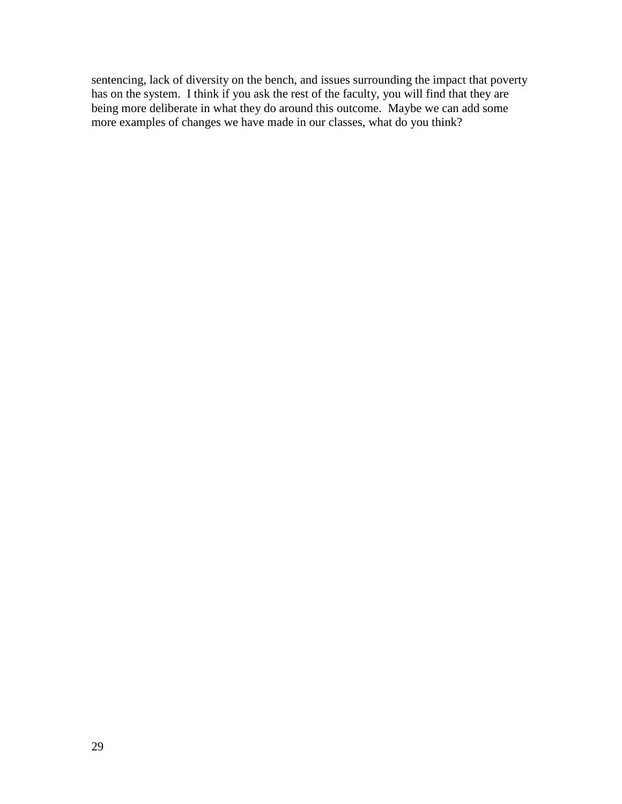sentencing, lack of diversity on the bench, and issues surrounding the impact that poverty has on the system. I think if you ask the rest of the faculty, you will find that they are being more deliberate in what they do around this outcome. Maybe we can add some more examples of changes we have made in our classes, what do you think?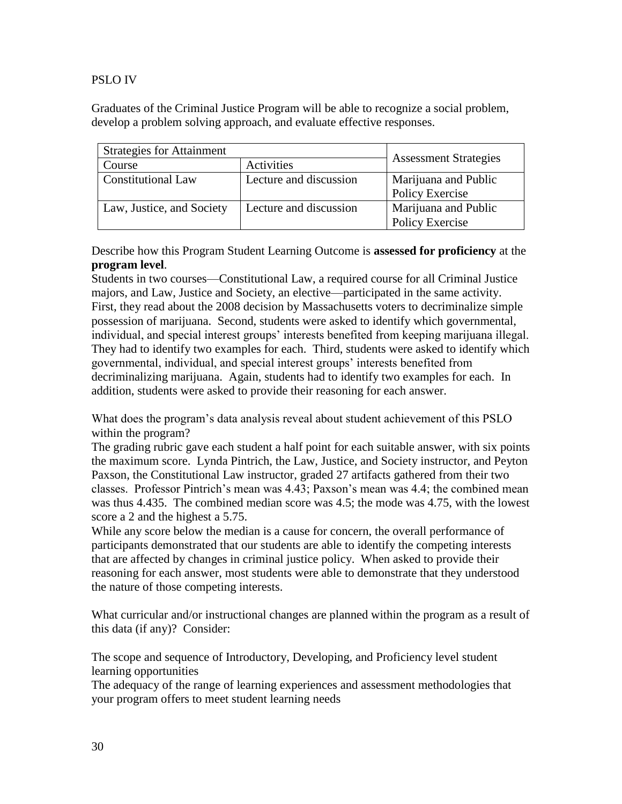## PSLO IV

Graduates of the Criminal Justice Program will be able to recognize a social problem, develop a problem solving approach, and evaluate effective responses.

| <b>Strategies for Attainment</b> | <b>Assessment Strategies</b> |                        |  |  |
|----------------------------------|------------------------------|------------------------|--|--|
| Course                           | Activities                   |                        |  |  |
| <b>Constitutional Law</b>        | Lecture and discussion       | Marijuana and Public   |  |  |
|                                  |                              | Policy Exercise        |  |  |
| Law, Justice, and Society        | Lecture and discussion       | Marijuana and Public   |  |  |
|                                  |                              | <b>Policy Exercise</b> |  |  |

Describe how this Program Student Learning Outcome is **assessed for proficiency** at the **program level**.

Students in two courses—Constitutional Law, a required course for all Criminal Justice majors, and Law, Justice and Society, an elective—participated in the same activity. First, they read about the 2008 decision by Massachusetts voters to decriminalize simple possession of marijuana. Second, students were asked to identify which governmental, individual, and special interest groups' interests benefited from keeping marijuana illegal. They had to identify two examples for each. Third, students were asked to identify which governmental, individual, and special interest groups' interests benefited from decriminalizing marijuana. Again, students had to identify two examples for each. In addition, students were asked to provide their reasoning for each answer.

What does the program's data analysis reveal about student achievement of this PSLO within the program?

The grading rubric gave each student a half point for each suitable answer, with six points the maximum score. Lynda Pintrich, the Law, Justice, and Society instructor, and Peyton Paxson, the Constitutional Law instructor, graded 27 artifacts gathered from their two classes. Professor Pintrich's mean was 4.43; Paxson's mean was 4.4; the combined mean was thus 4.435. The combined median score was 4.5; the mode was 4.75, with the lowest score a 2 and the highest a 5.75.

While any score below the median is a cause for concern, the overall performance of participants demonstrated that our students are able to identify the competing interests that are affected by changes in criminal justice policy. When asked to provide their reasoning for each answer, most students were able to demonstrate that they understood the nature of those competing interests.

What curricular and/or instructional changes are planned within the program as a result of this data (if any)? Consider:

The scope and sequence of Introductory, Developing, and Proficiency level student learning opportunities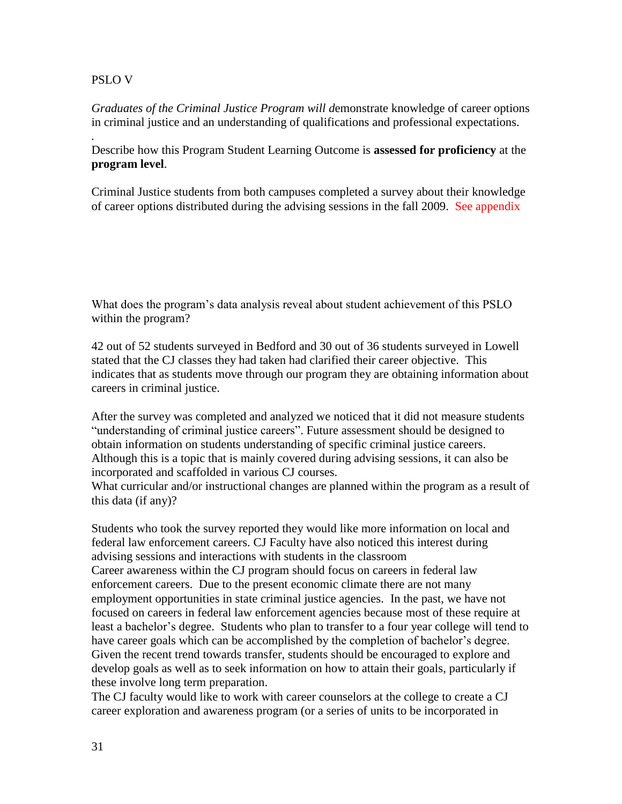## PSLO V

*.*

*Graduates of the Criminal Justice Program will d*emonstrate knowledge of career options in criminal justice and an understanding of qualifications and professional expectations.

Describe how this Program Student Learning Outcome is **assessed for proficiency** at the **program level**.

Criminal Justice students from both campuses completed a survey about their knowledge of career options distributed during the advising sessions in the fall 2009. See appendix

What does the program's data analysis reveal about student achievement of this PSLO within the program?

42 out of 52 students surveyed in Bedford and 30 out of 36 students surveyed in Lowell stated that the CJ classes they had taken had clarified their career objective. This indicates that as students move through our program they are obtaining information about careers in criminal justice.

After the survey was completed and analyzed we noticed that it did not measure students "understanding of criminal justice careers". Future assessment should be designed to obtain information on students understanding of specific criminal justice careers. Although this is a topic that is mainly covered during advising sessions, it can also be incorporated and scaffolded in various CJ courses.

What curricular and/or instructional changes are planned within the program as a result of this data (if any)?

Students who took the survey reported they would like more information on local and federal law enforcement careers. CJ Faculty have also noticed this interest during advising sessions and interactions with students in the classroom Career awareness within the CJ program should focus on careers in federal law enforcement careers. Due to the present economic climate there are not many employment opportunities in state criminal justice agencies. In the past, we have not focused on careers in federal law enforcement agencies because most of these require at least a bachelor's degree. Students who plan to transfer to a four year college will tend to have career goals which can be accomplished by the completion of bachelor's degree. Given the recent trend towards transfer, students should be encouraged to explore and develop goals as well as to seek information on how to attain their goals, particularly if these involve long term preparation.

The CJ faculty would like to work with career counselors at the college to create a CJ career exploration and awareness program (or a series of units to be incorporated in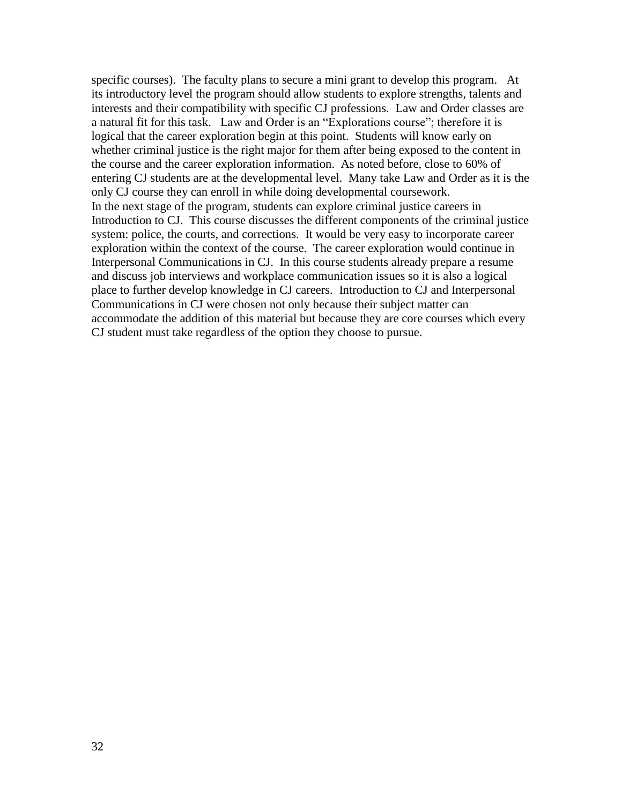specific courses). The faculty plans to secure a mini grant to develop this program. At its introductory level the program should allow students to explore strengths, talents and interests and their compatibility with specific CJ professions. Law and Order classes are a natural fit for this task. Law and Order is an "Explorations course"; therefore it is logical that the career exploration begin at this point. Students will know early on whether criminal justice is the right major for them after being exposed to the content in the course and the career exploration information. As noted before, close to 60% of entering CJ students are at the developmental level. Many take Law and Order as it is the only CJ course they can enroll in while doing developmental coursework. In the next stage of the program, students can explore criminal justice careers in Introduction to CJ. This course discusses the different components of the criminal justice system: police, the courts, and corrections. It would be very easy to incorporate career exploration within the context of the course. The career exploration would continue in Interpersonal Communications in CJ. In this course students already prepare a resume and discuss job interviews and workplace communication issues so it is also a logical place to further develop knowledge in CJ careers. Introduction to CJ and Interpersonal Communications in CJ were chosen not only because their subject matter can accommodate the addition of this material but because they are core courses which every CJ student must take regardless of the option they choose to pursue.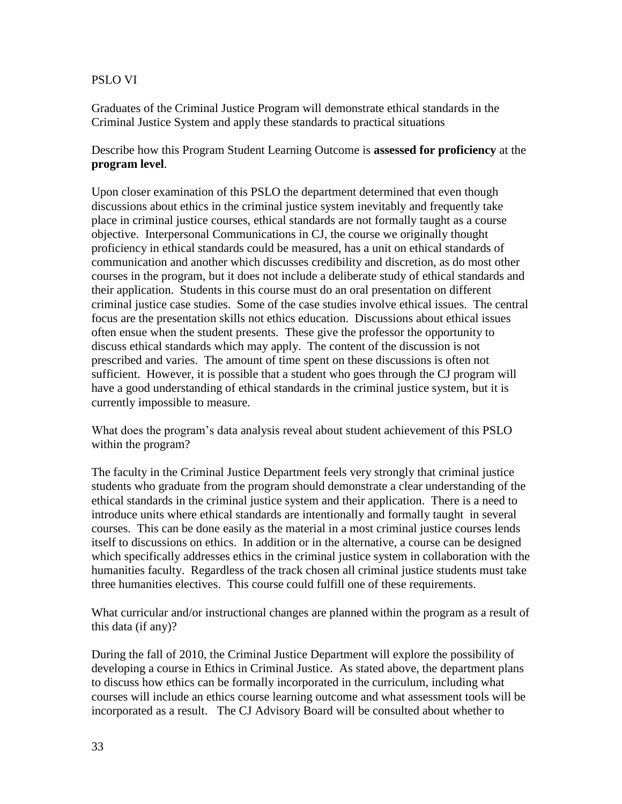## PSLO VI

Graduates of the Criminal Justice Program will demonstrate ethical standards in the Criminal Justice System and apply these standards to practical situations

# Describe how this Program Student Learning Outcome is **assessed for proficiency** at the **program level**.

Upon closer examination of this PSLO the department determined that even though discussions about ethics in the criminal justice system inevitably and frequently take place in criminal justice courses, ethical standards are not formally taught as a course objective. Interpersonal Communications in CJ, the course we originally thought proficiency in ethical standards could be measured, has a unit on ethical standards of communication and another which discusses credibility and discretion, as do most other courses in the program, but it does not include a deliberate study of ethical standards and their application. Students in this course must do an oral presentation on different criminal justice case studies. Some of the case studies involve ethical issues. The central focus are the presentation skills not ethics education. Discussions about ethical issues often ensue when the student presents. These give the professor the opportunity to discuss ethical standards which may apply. The content of the discussion is not prescribed and varies. The amount of time spent on these discussions is often not sufficient. However, it is possible that a student who goes through the CJ program will have a good understanding of ethical standards in the criminal justice system, but it is currently impossible to measure.

What does the program's data analysis reveal about student achievement of this PSLO within the program?

The faculty in the Criminal Justice Department feels very strongly that criminal justice students who graduate from the program should demonstrate a clear understanding of the ethical standards in the criminal justice system and their application. There is a need to introduce units where ethical standards are intentionally and formally taught in several courses. This can be done easily as the material in a most criminal justice courses lends itself to discussions on ethics. In addition or in the alternative, a course can be designed which specifically addresses ethics in the criminal justice system in collaboration with the humanities faculty. Regardless of the track chosen all criminal justice students must take three humanities electives. This course could fulfill one of these requirements.

What curricular and/or instructional changes are planned within the program as a result of this data (if any)?

During the fall of 2010, the Criminal Justice Department will explore the possibility of developing a course in Ethics in Criminal Justice. As stated above, the department plans to discuss how ethics can be formally incorporated in the curriculum, including what courses will include an ethics course learning outcome and what assessment tools will be incorporated as a result. The CJ Advisory Board will be consulted about whether to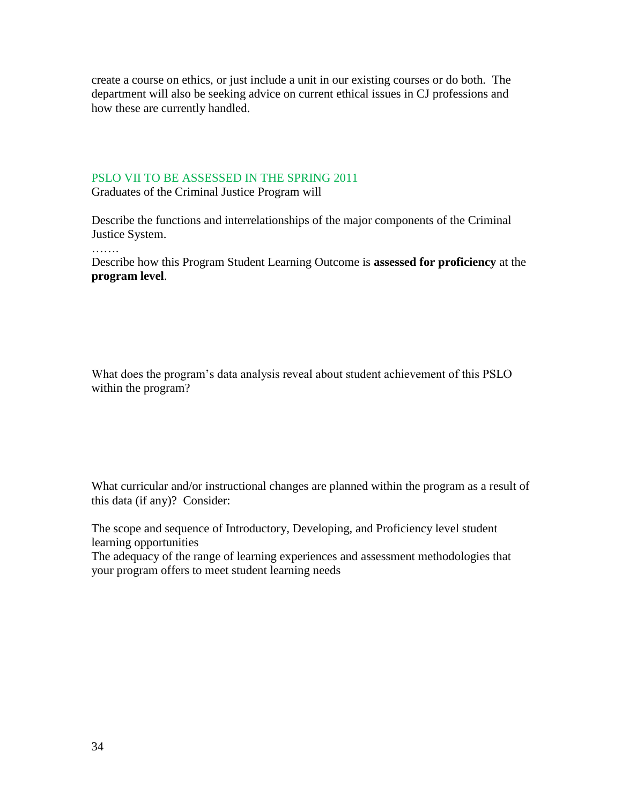create a course on ethics, or just include a unit in our existing courses or do both. The department will also be seeking advice on current ethical issues in CJ professions and how these are currently handled.

#### PSLO VII TO BE ASSESSED IN THE SPRING 2011

Graduates of the Criminal Justice Program will

Describe the functions and interrelationships of the major components of the Criminal Justice System.

Describe how this Program Student Learning Outcome is **assessed for proficiency** at the **program level**.

What does the program's data analysis reveal about student achievement of this PSLO within the program?

What curricular and/or instructional changes are planned within the program as a result of this data (if any)? Consider:

The scope and sequence of Introductory, Developing, and Proficiency level student learning opportunities

The adequacy of the range of learning experiences and assessment methodologies that your program offers to meet student learning needs

………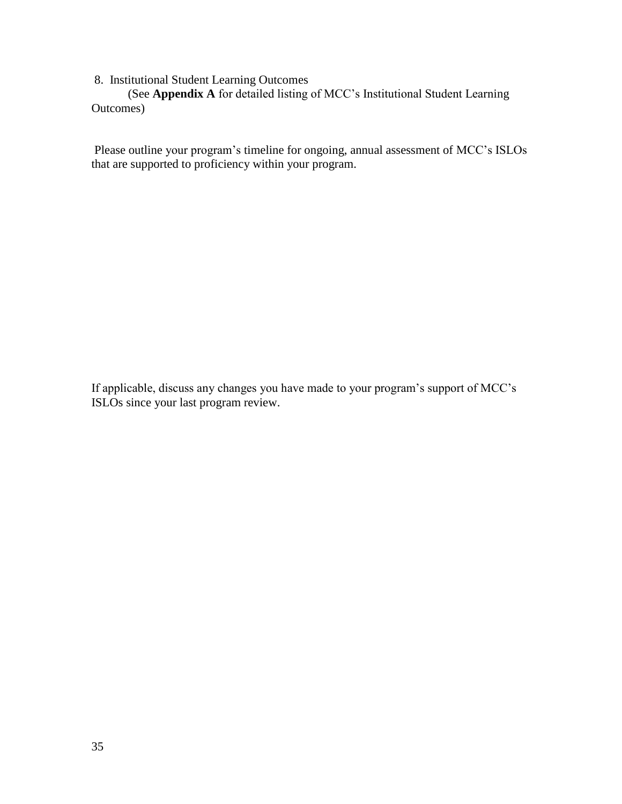## 8. Institutional Student Learning Outcomes

(See **Appendix A** for detailed listing of MCC's Institutional Student Learning Outcomes)

Please outline your program's timeline for ongoing, annual assessment of MCC's ISLOs that are supported to proficiency within your program.

If applicable, discuss any changes you have made to your program's support of MCC's ISLOs since your last program review.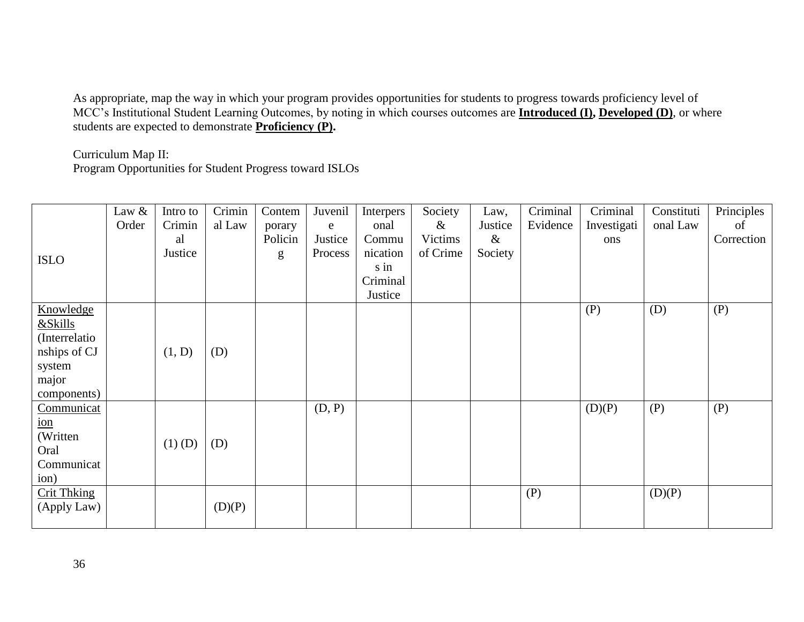As appropriate, map the way in which your program provides opportunities for students to progress towards proficiency level of MCC's Institutional Student Learning Outcomes, by noting in which courses outcomes are **Introduced (I), Developed (D)**, or where students are expected to demonstrate **Proficiency (P).**

Curriculum Map II:

Program Opportunities for Student Progress toward ISLOs

|                                        | Law &<br>Order | Intro to<br>Crimin<br>al<br>Justice | Crimin<br>al Law | Contem<br>porary<br>Policin | Juvenil<br>e<br>Justice<br>Process | Interpers<br>onal<br>Commu<br>nication | Society<br>&<br>Victims<br>of Crime | Law,<br>Justice<br>$\&$<br>Society | Criminal<br>Evidence | Criminal<br>Investigati<br>ons | Constituti<br>onal Law | Principles<br>of<br>Correction |
|----------------------------------------|----------------|-------------------------------------|------------------|-----------------------------|------------------------------------|----------------------------------------|-------------------------------------|------------------------------------|----------------------|--------------------------------|------------------------|--------------------------------|
| <b>ISLO</b>                            |                |                                     |                  | g                           |                                    | s in<br>Criminal<br>Justice            |                                     |                                    |                      |                                |                        |                                |
| Knowledge<br>&Skills<br>(Interrelatio) |                |                                     |                  |                             |                                    |                                        |                                     |                                    |                      | (P)                            | (D)                    | (P)                            |
| nships of CJ<br>system                 |                | (1, D)                              | (D)              |                             |                                    |                                        |                                     |                                    |                      |                                |                        |                                |
| major<br>components)                   |                |                                     |                  |                             |                                    |                                        |                                     |                                    |                      |                                |                        |                                |
| Communicat<br>$\underline{\text{ion}}$ |                |                                     |                  |                             | (D, P)                             |                                        |                                     |                                    |                      | (D)(P)                         | (P)                    | (P)                            |
| (Written)<br>Oral<br>Communicat        |                | $(1)$ (D)                           | (D)              |                             |                                    |                                        |                                     |                                    |                      |                                |                        |                                |
| ion)                                   |                |                                     |                  |                             |                                    |                                        |                                     |                                    |                      |                                |                        |                                |
| <b>Crit Thking</b><br>(Apply Law)      |                |                                     | (D)(P)           |                             |                                    |                                        |                                     |                                    | (P)                  |                                | (D)(P)                 |                                |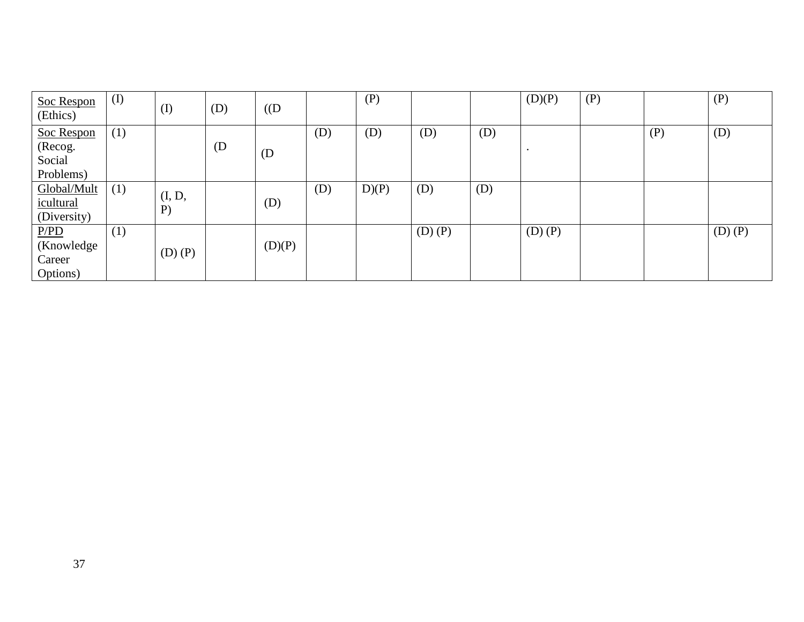| Soc Respon<br>(Ethics) | (I) | $\rm (I)$    | (D) | $($ (D |     | (P)  |             |     | (D)(P)      | (P) |     | (P)         |
|------------------------|-----|--------------|-----|--------|-----|------|-------------|-----|-------------|-----|-----|-------------|
| Soc Respon             | (1) |              |     |        | (D) | (D)  | (D)         | (D) |             |     | (P) | (D)         |
| (Recog.                |     |              | (D) |        |     |      |             |     |             |     |     |             |
| Social                 |     |              |     | (D)    |     |      |             |     |             |     |     |             |
| Problems)              |     |              |     |        |     |      |             |     |             |     |     |             |
| Global/Mult            | (1) |              |     |        | (D) | D(P) | (D)         | (D) |             |     |     |             |
| icultural              |     | (I, D,<br>P) |     | (D)    |     |      |             |     |             |     |     |             |
| (Diversity)            |     |              |     |        |     |      |             |     |             |     |     |             |
| P/PD                   | (1) |              |     |        |     |      | $(D)$ $(P)$ |     | $(D)$ $(P)$ |     |     | $(D)$ $(P)$ |
| (Knowledge)            |     | $(D)$ $(P)$  |     | (D)(P) |     |      |             |     |             |     |     |             |
| Career                 |     |              |     |        |     |      |             |     |             |     |     |             |
| Options)               |     |              |     |        |     |      |             |     |             |     |     |             |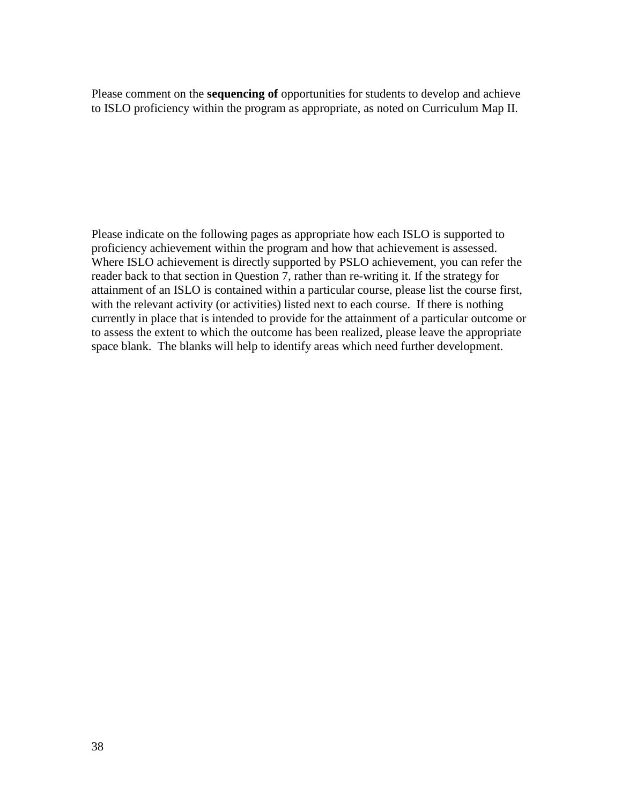Please comment on the **sequencing of** opportunities for students to develop and achieve to ISLO proficiency within the program as appropriate, as noted on Curriculum Map II.

Please indicate on the following pages as appropriate how each ISLO is supported to proficiency achievement within the program and how that achievement is assessed. Where ISLO achievement is directly supported by PSLO achievement, you can refer the reader back to that section in Question 7, rather than re-writing it. If the strategy for attainment of an ISLO is contained within a particular course, please list the course first, with the relevant activity (or activities) listed next to each course. If there is nothing currently in place that is intended to provide for the attainment of a particular outcome or to assess the extent to which the outcome has been realized, please leave the appropriate space blank. The blanks will help to identify areas which need further development.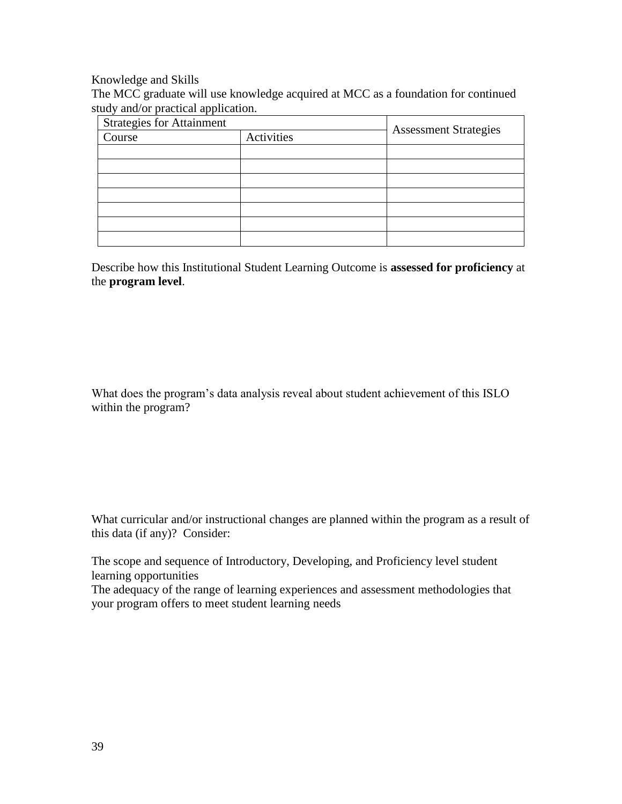Knowledge and Skills

The MCC graduate will use knowledge acquired at MCC as a foundation for continued study and/or practical application.

| <b>Strategies for Attainment</b> |            |                              |  |
|----------------------------------|------------|------------------------------|--|
| Course                           | Activities | <b>Assessment Strategies</b> |  |
|                                  |            |                              |  |
|                                  |            |                              |  |
|                                  |            |                              |  |
|                                  |            |                              |  |
|                                  |            |                              |  |
|                                  |            |                              |  |
|                                  |            |                              |  |

Describe how this Institutional Student Learning Outcome is **assessed for proficiency** at the **program level**.

What does the program's data analysis reveal about student achievement of this ISLO within the program?

What curricular and/or instructional changes are planned within the program as a result of this data (if any)? Consider:

The scope and sequence of Introductory, Developing, and Proficiency level student learning opportunities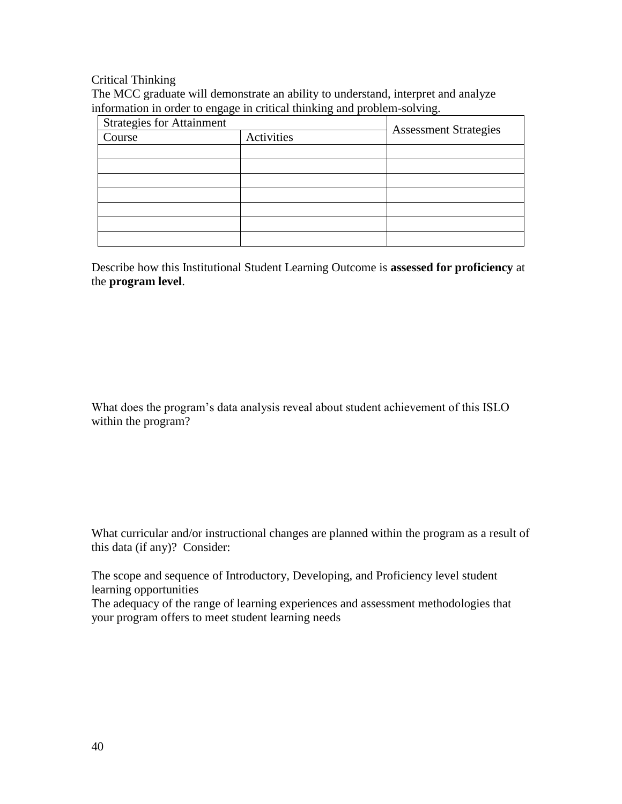Critical Thinking

The MCC graduate will demonstrate an ability to understand, interpret and analyze information in order to engage in critical thinking and problem-solving.

| <b>Strategies for Attainment</b> |            |                              |  |
|----------------------------------|------------|------------------------------|--|
| Course                           | Activities | <b>Assessment Strategies</b> |  |
|                                  |            |                              |  |
|                                  |            |                              |  |
|                                  |            |                              |  |
|                                  |            |                              |  |
|                                  |            |                              |  |
|                                  |            |                              |  |
|                                  |            |                              |  |

Describe how this Institutional Student Learning Outcome is **assessed for proficiency** at the **program level**.

What does the program's data analysis reveal about student achievement of this ISLO within the program?

What curricular and/or instructional changes are planned within the program as a result of this data (if any)? Consider:

The scope and sequence of Introductory, Developing, and Proficiency level student learning opportunities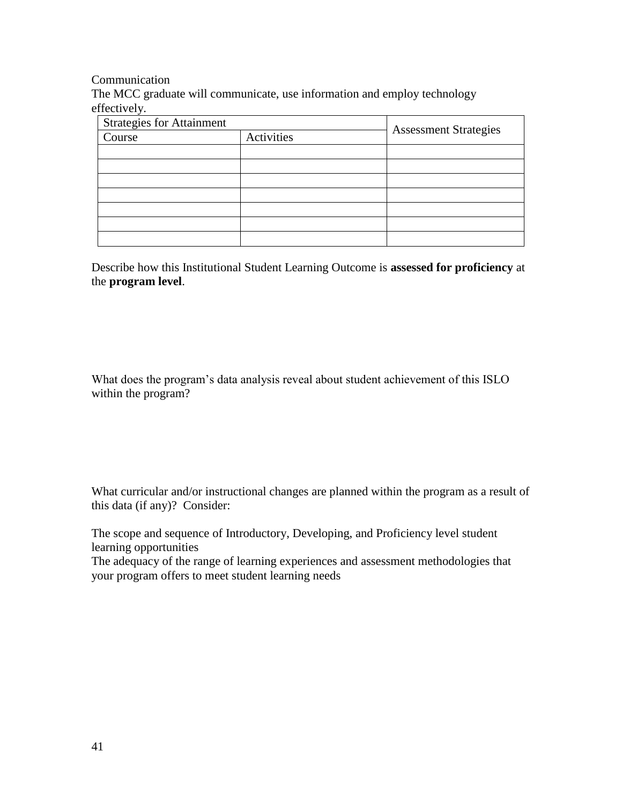Communication

The MCC graduate will communicate, use information and employ technology effectively.

| <b>Strategies for Attainment</b> |            |                              |  |
|----------------------------------|------------|------------------------------|--|
| Course                           | Activities | <b>Assessment Strategies</b> |  |
|                                  |            |                              |  |
|                                  |            |                              |  |
|                                  |            |                              |  |
|                                  |            |                              |  |
|                                  |            |                              |  |
|                                  |            |                              |  |
|                                  |            |                              |  |

Describe how this Institutional Student Learning Outcome is **assessed for proficiency** at the **program level**.

What does the program's data analysis reveal about student achievement of this ISLO within the program?

What curricular and/or instructional changes are planned within the program as a result of this data (if any)? Consider:

The scope and sequence of Introductory, Developing, and Proficiency level student learning opportunities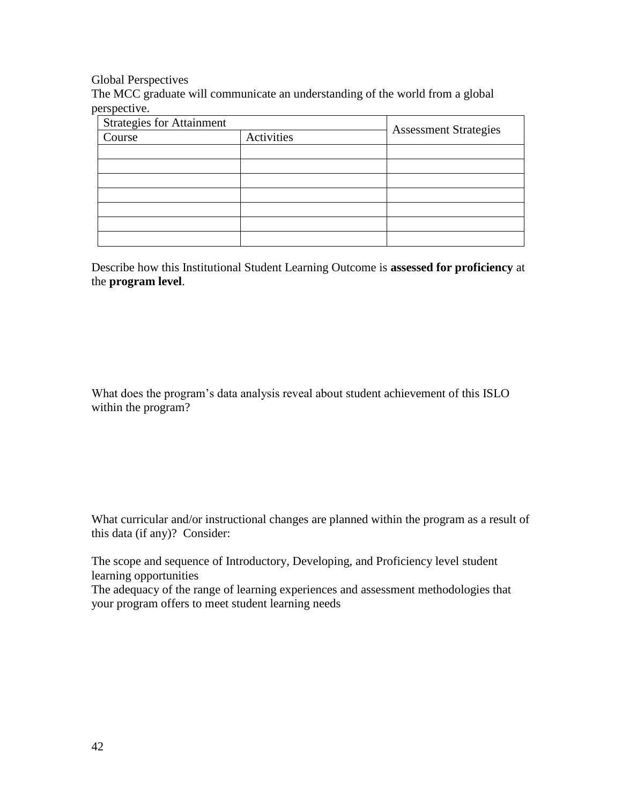Global Perspectives

The MCC graduate will communicate an understanding of the world from a global perspective.

| <b>Strategies for Attainment</b> |            |                              |  |
|----------------------------------|------------|------------------------------|--|
| Course                           | Activities | <b>Assessment Strategies</b> |  |
|                                  |            |                              |  |
|                                  |            |                              |  |
|                                  |            |                              |  |
|                                  |            |                              |  |
|                                  |            |                              |  |
|                                  |            |                              |  |
|                                  |            |                              |  |

Describe how this Institutional Student Learning Outcome is **assessed for proficiency** at the **program level**.

What does the program's data analysis reveal about student achievement of this ISLO within the program?

What curricular and/or instructional changes are planned within the program as a result of this data (if any)? Consider:

The scope and sequence of Introductory, Developing, and Proficiency level student learning opportunities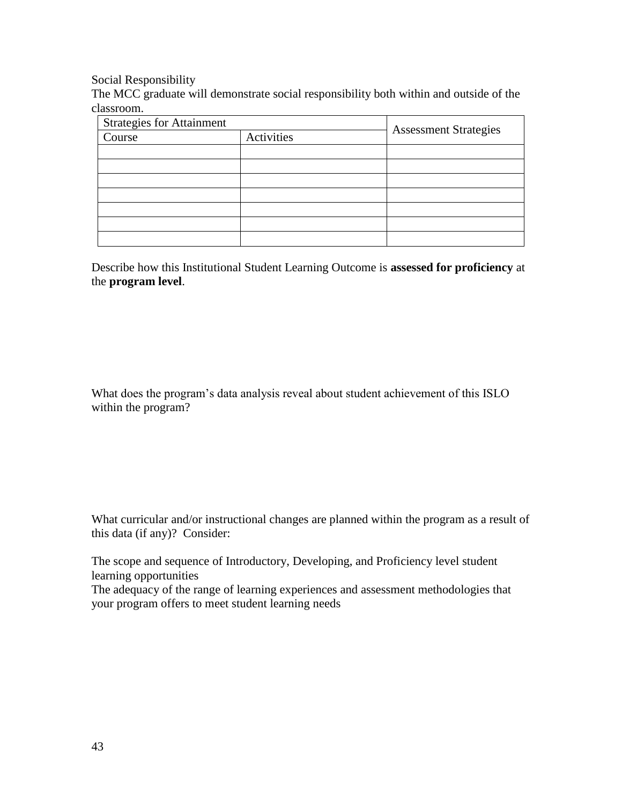Social Responsibility

The MCC graduate will demonstrate social responsibility both within and outside of the classroom.

| <b>Strategies for Attainment</b> |            |                              |  |
|----------------------------------|------------|------------------------------|--|
| Course                           | Activities | <b>Assessment Strategies</b> |  |
|                                  |            |                              |  |
|                                  |            |                              |  |
|                                  |            |                              |  |
|                                  |            |                              |  |
|                                  |            |                              |  |
|                                  |            |                              |  |
|                                  |            |                              |  |

Describe how this Institutional Student Learning Outcome is **assessed for proficiency** at the **program level**.

What does the program's data analysis reveal about student achievement of this ISLO within the program?

What curricular and/or instructional changes are planned within the program as a result of this data (if any)? Consider:

The scope and sequence of Introductory, Developing, and Proficiency level student learning opportunities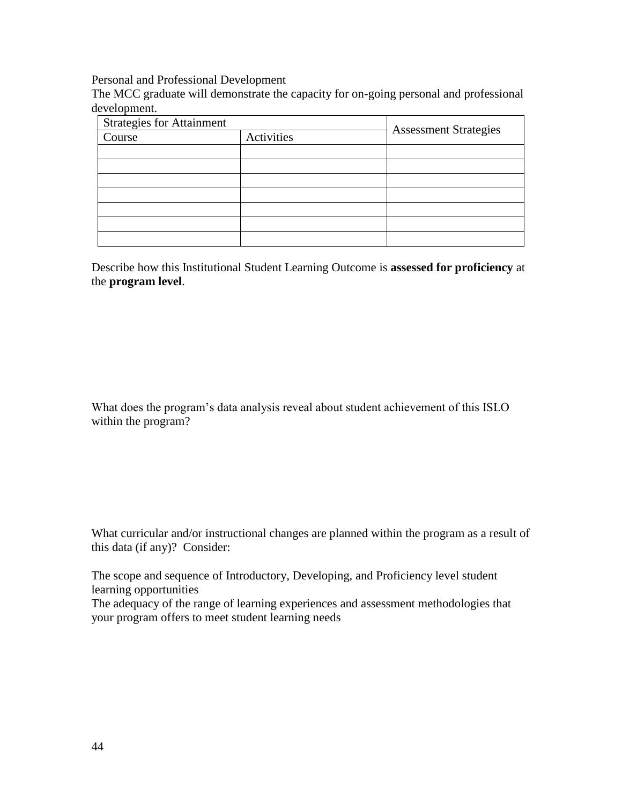Personal and Professional Development

The MCC graduate will demonstrate the capacity for on-going personal and professional development.

| <b>Strategies for Attainment</b> |            |                              |  |
|----------------------------------|------------|------------------------------|--|
| Course                           | Activities | <b>Assessment Strategies</b> |  |
|                                  |            |                              |  |
|                                  |            |                              |  |
|                                  |            |                              |  |
|                                  |            |                              |  |
|                                  |            |                              |  |
|                                  |            |                              |  |
|                                  |            |                              |  |

Describe how this Institutional Student Learning Outcome is **assessed for proficiency** at the **program level**.

What does the program's data analysis reveal about student achievement of this ISLO within the program?

What curricular and/or instructional changes are planned within the program as a result of this data (if any)? Consider:

The scope and sequence of Introductory, Developing, and Proficiency level student learning opportunities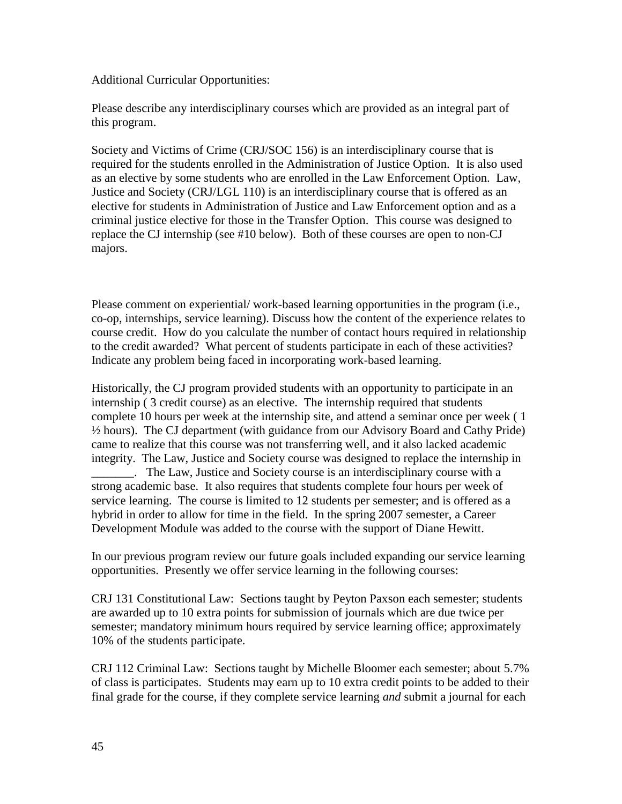Additional Curricular Opportunities:

Please describe any interdisciplinary courses which are provided as an integral part of this program.

Society and Victims of Crime (CRJ/SOC 156) is an interdisciplinary course that is required for the students enrolled in the Administration of Justice Option. It is also used as an elective by some students who are enrolled in the Law Enforcement Option. Law, Justice and Society (CRJ/LGL 110) is an interdisciplinary course that is offered as an elective for students in Administration of Justice and Law Enforcement option and as a criminal justice elective for those in the Transfer Option. This course was designed to replace the CJ internship (see #10 below). Both of these courses are open to non-CJ majors.

Please comment on experiential/ work-based learning opportunities in the program (i.e., co-op, internships, service learning). Discuss how the content of the experience relates to course credit. How do you calculate the number of contact hours required in relationship to the credit awarded? What percent of students participate in each of these activities? Indicate any problem being faced in incorporating work-based learning.

Historically, the CJ program provided students with an opportunity to participate in an internship ( 3 credit course) as an elective. The internship required that students complete 10 hours per week at the internship site, and attend a seminar once per week ( 1 ½ hours). The CJ department (with guidance from our Advisory Board and Cathy Pride) came to realize that this course was not transferring well, and it also lacked academic integrity. The Law, Justice and Society course was designed to replace the internship in \_\_\_\_\_\_\_. The Law, Justice and Society course is an interdisciplinary course with a strong academic base. It also requires that students complete four hours per week of service learning. The course is limited to 12 students per semester; and is offered as a hybrid in order to allow for time in the field. In the spring 2007 semester, a Career

In our previous program review our future goals included expanding our service learning opportunities. Presently we offer service learning in the following courses:

Development Module was added to the course with the support of Diane Hewitt.

CRJ 131 Constitutional Law: Sections taught by Peyton Paxson each semester; students are awarded up to 10 extra points for submission of journals which are due twice per semester; mandatory minimum hours required by service learning office; approximately 10% of the students participate.

CRJ 112 Criminal Law: Sections taught by Michelle Bloomer each semester; about 5.7% of class is participates. Students may earn up to 10 extra credit points to be added to their final grade for the course, if they complete service learning *and* submit a journal for each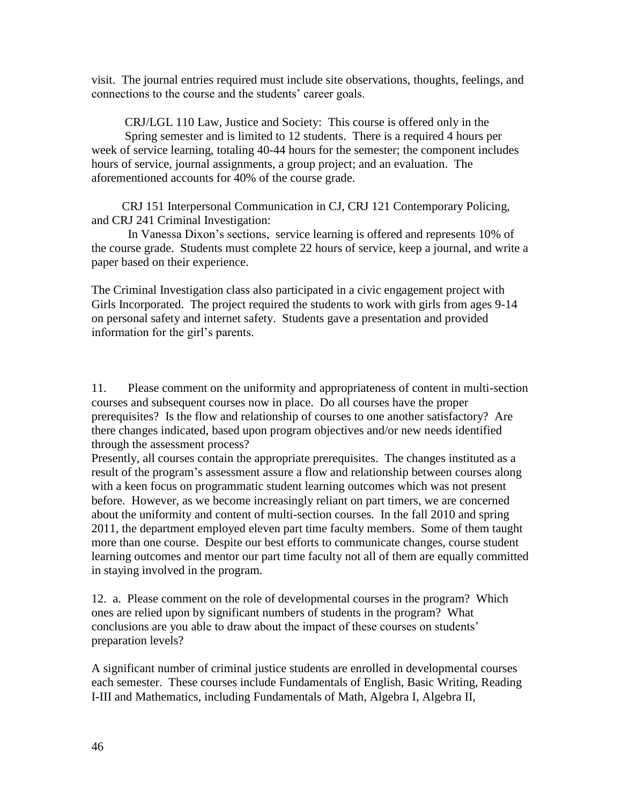visit. The journal entries required must include site observations, thoughts, feelings, and connections to the course and the students' career goals.

 CRJ/LGL 110 Law, Justice and Society: This course is offered only in the Spring semester and is limited to 12 students. There is a required 4 hours per week of service learning, totaling 40-44 hours for the semester; the component includes hours of service, journal assignments, a group project; and an evaluation. The aforementioned accounts for 40% of the course grade.

 CRJ 151 Interpersonal Communication in CJ, CRJ 121 Contemporary Policing, and CRJ 241 Criminal Investigation:

In Vanessa Dixon's sections, service learning is offered and represents 10% of the course grade. Students must complete 22 hours of service, keep a journal, and write a paper based on their experience.

The Criminal Investigation class also participated in a civic engagement project with Girls Incorporated. The project required the students to work with girls from ages 9-14 on personal safety and internet safety. Students gave a presentation and provided information for the girl's parents.

11. Please comment on the uniformity and appropriateness of content in multi-section courses and subsequent courses now in place. Do all courses have the proper prerequisites? Is the flow and relationship of courses to one another satisfactory? Are there changes indicated, based upon program objectives and/or new needs identified through the assessment process?

Presently, all courses contain the appropriate prerequisites. The changes instituted as a result of the program's assessment assure a flow and relationship between courses along with a keen focus on programmatic student learning outcomes which was not present before. However, as we become increasingly reliant on part timers, we are concerned about the uniformity and content of multi-section courses. In the fall 2010 and spring 2011, the department employed eleven part time faculty members. Some of them taught more than one course. Despite our best efforts to communicate changes, course student learning outcomes and mentor our part time faculty not all of them are equally committed in staying involved in the program.

12. a. Please comment on the role of developmental courses in the program? Which ones are relied upon by significant numbers of students in the program? What conclusions are you able to draw about the impact of these courses on students' preparation levels?

A significant number of criminal justice students are enrolled in developmental courses each semester. These courses include Fundamentals of English, Basic Writing, Reading I-III and Mathematics, including Fundamentals of Math, Algebra I, Algebra II,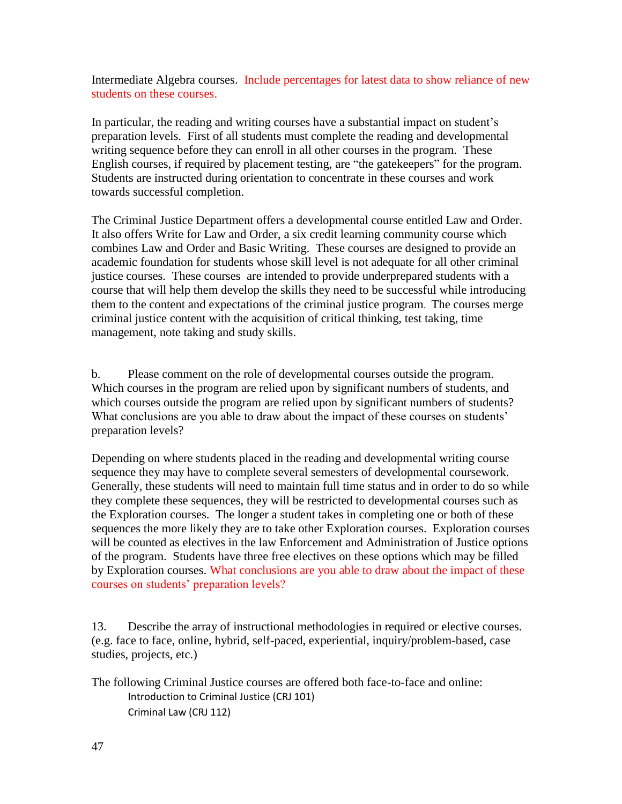Intermediate Algebra courses. Include percentages for latest data to show reliance of new students on these courses.

In particular, the reading and writing courses have a substantial impact on student's preparation levels. First of all students must complete the reading and developmental writing sequence before they can enroll in all other courses in the program. These English courses, if required by placement testing, are "the gatekeepers" for the program. Students are instructed during orientation to concentrate in these courses and work towards successful completion.

The Criminal Justice Department offers a developmental course entitled Law and Order. It also offers Write for Law and Order, a six credit learning community course which combines Law and Order and Basic Writing. These courses are designed to provide an academic foundation for students whose skill level is not adequate for all other criminal justice courses. These courses are intended to provide underprepared students with a course that will help them develop the skills they need to be successful while introducing them to the content and expectations of the criminal justice program. The courses merge criminal justice content with the acquisition of critical thinking, test taking, time management, note taking and study skills.

b. Please comment on the role of developmental courses outside the program. Which courses in the program are relied upon by significant numbers of students, and which courses outside the program are relied upon by significant numbers of students? What conclusions are you able to draw about the impact of these courses on students' preparation levels?

Depending on where students placed in the reading and developmental writing course sequence they may have to complete several semesters of developmental coursework. Generally, these students will need to maintain full time status and in order to do so while they complete these sequences, they will be restricted to developmental courses such as the Exploration courses. The longer a student takes in completing one or both of these sequences the more likely they are to take other Exploration courses. Exploration courses will be counted as electives in the law Enforcement and Administration of Justice options of the program. Students have three free electives on these options which may be filled by Exploration courses. What conclusions are you able to draw about the impact of these courses on students' preparation levels?

13. Describe the array of instructional methodologies in required or elective courses. (e.g. face to face, online, hybrid, self-paced, experiential, inquiry/problem-based, case studies, projects, etc.)

The following Criminal Justice courses are offered both face-to-face and online: Introduction to Criminal Justice (CRJ 101) Criminal Law (CRJ 112)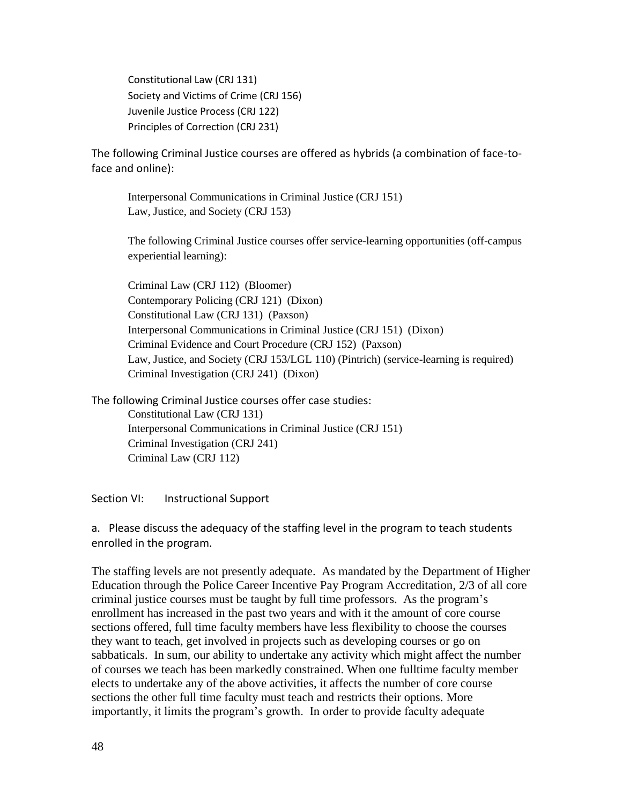Constitutional Law (CRJ 131) Society and Victims of Crime (CRJ 156) Juvenile Justice Process (CRJ 122) Principles of Correction (CRJ 231)

The following Criminal Justice courses are offered as hybrids (a combination of face-toface and online):

Interpersonal Communications in Criminal Justice (CRJ 151) Law, Justice, and Society (CRJ 153)

The following Criminal Justice courses offer service-learning opportunities (off-campus experiential learning):

Criminal Law (CRJ 112) (Bloomer) Contemporary Policing (CRJ 121) (Dixon) Constitutional Law (CRJ 131) (Paxson) Interpersonal Communications in Criminal Justice (CRJ 151) (Dixon) Criminal Evidence and Court Procedure (CRJ 152) (Paxson) Law, Justice, and Society (CRJ 153/LGL 110) (Pintrich) (service-learning is required) Criminal Investigation (CRJ 241) (Dixon)

The following Criminal Justice courses offer case studies: Constitutional Law (CRJ 131) Interpersonal Communications in Criminal Justice (CRJ 151) Criminal Investigation (CRJ 241) Criminal Law (CRJ 112)

Section VI: Instructional Support

a. Please discuss the adequacy of the staffing level in the program to teach students enrolled in the program.

The staffing levels are not presently adequate. As mandated by the Department of Higher Education through the Police Career Incentive Pay Program Accreditation, 2/3 of all core criminal justice courses must be taught by full time professors. As the program's enrollment has increased in the past two years and with it the amount of core course sections offered, full time faculty members have less flexibility to choose the courses they want to teach, get involved in projects such as developing courses or go on sabbaticals. In sum, our ability to undertake any activity which might affect the number of courses we teach has been markedly constrained. When one fulltime faculty member elects to undertake any of the above activities, it affects the number of core course sections the other full time faculty must teach and restricts their options. More importantly, it limits the program's growth. In order to provide faculty adequate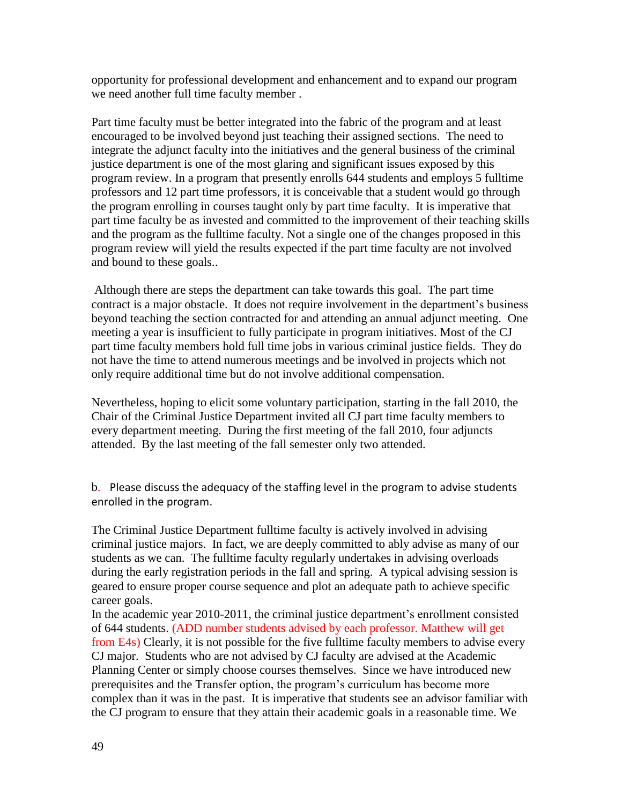opportunity for professional development and enhancement and to expand our program we need another full time faculty member .

Part time faculty must be better integrated into the fabric of the program and at least encouraged to be involved beyond just teaching their assigned sections. The need to integrate the adjunct faculty into the initiatives and the general business of the criminal justice department is one of the most glaring and significant issues exposed by this program review. In a program that presently enrolls 644 students and employs 5 fulltime professors and 12 part time professors, it is conceivable that a student would go through the program enrolling in courses taught only by part time faculty. It is imperative that part time faculty be as invested and committed to the improvement of their teaching skills and the program as the fulltime faculty. Not a single one of the changes proposed in this program review will yield the results expected if the part time faculty are not involved and bound to these goals..

Although there are steps the department can take towards this goal. The part time contract is a major obstacle. It does not require involvement in the department's business beyond teaching the section contracted for and attending an annual adjunct meeting. One meeting a year is insufficient to fully participate in program initiatives. Most of the CJ part time faculty members hold full time jobs in various criminal justice fields. They do not have the time to attend numerous meetings and be involved in projects which not only require additional time but do not involve additional compensation.

Nevertheless, hoping to elicit some voluntary participation, starting in the fall 2010, the Chair of the Criminal Justice Department invited all CJ part time faculty members to every department meeting. During the first meeting of the fall 2010, four adjuncts attended. By the last meeting of the fall semester only two attended.

b. Please discuss the adequacy of the staffing level in the program to advise students enrolled in the program.

The Criminal Justice Department fulltime faculty is actively involved in advising criminal justice majors. In fact, we are deeply committed to ably advise as many of our students as we can. The fulltime faculty regularly undertakes in advising overloads during the early registration periods in the fall and spring. A typical advising session is geared to ensure proper course sequence and plot an adequate path to achieve specific career goals.

In the academic year 2010-2011, the criminal justice department's enrollment consisted of 644 students. (ADD number students advised by each professor. Matthew will get from E4s) Clearly, it is not possible for the five fulltime faculty members to advise every CJ major. Students who are not advised by CJ faculty are advised at the Academic Planning Center or simply choose courses themselves. Since we have introduced new prerequisites and the Transfer option, the program's curriculum has become more complex than it was in the past. It is imperative that students see an advisor familiar with the CJ program to ensure that they attain their academic goals in a reasonable time. We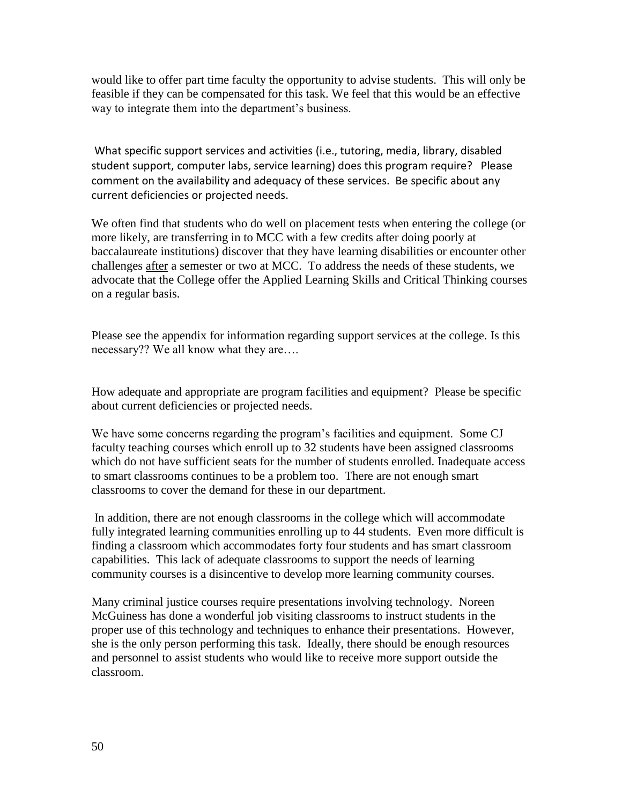would like to offer part time faculty the opportunity to advise students. This will only be feasible if they can be compensated for this task. We feel that this would be an effective way to integrate them into the department's business.

What specific support services and activities (i.e., tutoring, media, library, disabled student support, computer labs, service learning) does this program require? Please comment on the availability and adequacy of these services. Be specific about any current deficiencies or projected needs.

We often find that students who do well on placement tests when entering the college (or more likely, are transferring in to MCC with a few credits after doing poorly at baccalaureate institutions) discover that they have learning disabilities or encounter other challenges after a semester or two at MCC. To address the needs of these students, we advocate that the College offer the Applied Learning Skills and Critical Thinking courses on a regular basis.

Please see the appendix for information regarding support services at the college. Is this necessary?? We all know what they are….

How adequate and appropriate are program facilities and equipment? Please be specific about current deficiencies or projected needs.

We have some concerns regarding the program's facilities and equipment. Some CJ faculty teaching courses which enroll up to 32 students have been assigned classrooms which do not have sufficient seats for the number of students enrolled. Inadequate access to smart classrooms continues to be a problem too. There are not enough smart classrooms to cover the demand for these in our department.

In addition, there are not enough classrooms in the college which will accommodate fully integrated learning communities enrolling up to 44 students. Even more difficult is finding a classroom which accommodates forty four students and has smart classroom capabilities. This lack of adequate classrooms to support the needs of learning community courses is a disincentive to develop more learning community courses.

Many criminal justice courses require presentations involving technology. Noreen McGuiness has done a wonderful job visiting classrooms to instruct students in the proper use of this technology and techniques to enhance their presentations. However, she is the only person performing this task. Ideally, there should be enough resources and personnel to assist students who would like to receive more support outside the classroom.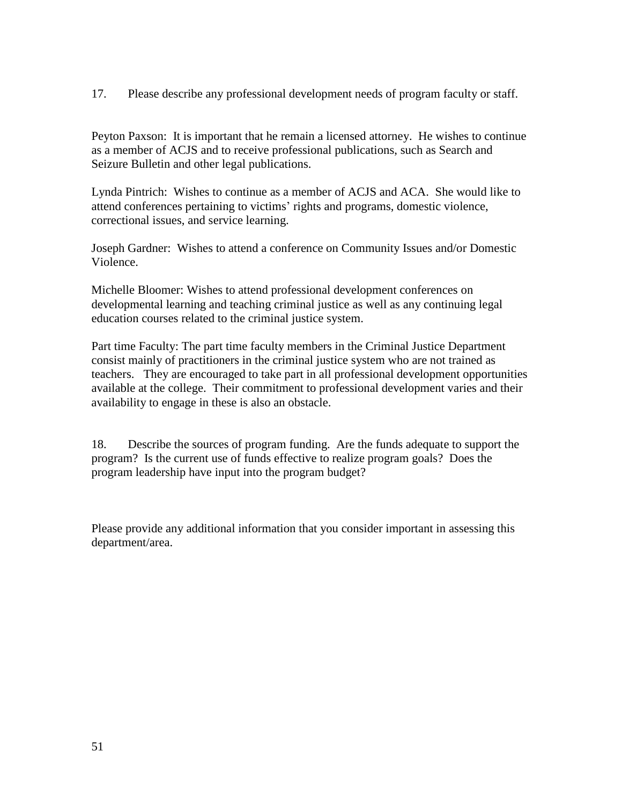17. Please describe any professional development needs of program faculty or staff.

Peyton Paxson: It is important that he remain a licensed attorney. He wishes to continue as a member of ACJS and to receive professional publications, such as Search and Seizure Bulletin and other legal publications.

Lynda Pintrich: Wishes to continue as a member of ACJS and ACA. She would like to attend conferences pertaining to victims' rights and programs, domestic violence, correctional issues, and service learning.

Joseph Gardner: Wishes to attend a conference on Community Issues and/or Domestic Violence.

Michelle Bloomer: Wishes to attend professional development conferences on developmental learning and teaching criminal justice as well as any continuing legal education courses related to the criminal justice system.

Part time Faculty: The part time faculty members in the Criminal Justice Department consist mainly of practitioners in the criminal justice system who are not trained as teachers. They are encouraged to take part in all professional development opportunities available at the college. Their commitment to professional development varies and their availability to engage in these is also an obstacle.

18. Describe the sources of program funding. Are the funds adequate to support the program? Is the current use of funds effective to realize program goals? Does the program leadership have input into the program budget?

Please provide any additional information that you consider important in assessing this department/area.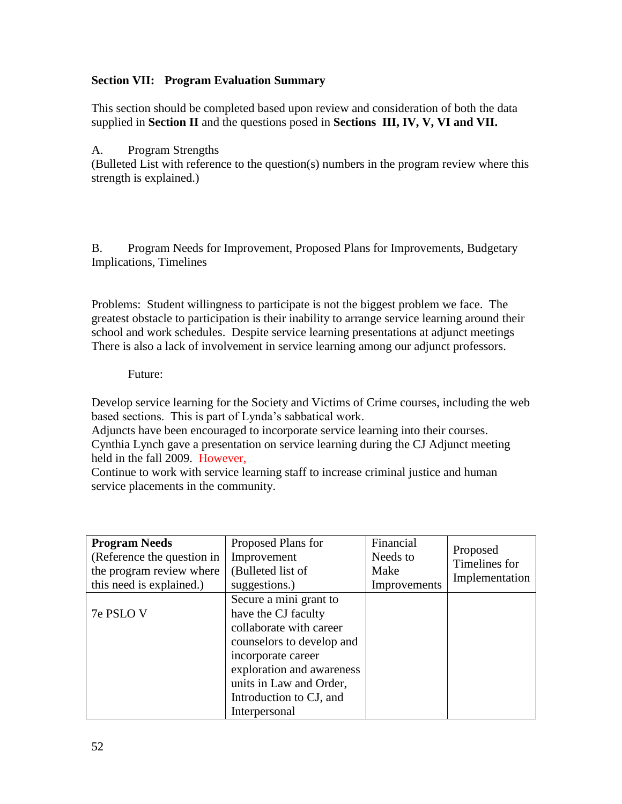## **Section VII: Program Evaluation Summary**

This section should be completed based upon review and consideration of both the data supplied in **Section II** and the questions posed in **Sections III, IV, V, VI and VII.**

## A. Program Strengths

(Bulleted List with reference to the question(s) numbers in the program review where this strength is explained.)

B. Program Needs for Improvement, Proposed Plans for Improvements, Budgetary Implications, Timelines

Problems: Student willingness to participate is not the biggest problem we face. The greatest obstacle to participation is their inability to arrange service learning around their school and work schedules. Despite service learning presentations at adjunct meetings There is also a lack of involvement in service learning among our adjunct professors.

## Future:

Develop service learning for the Society and Victims of Crime courses, including the web based sections. This is part of Lynda's sabbatical work.

Adjuncts have been encouraged to incorporate service learning into their courses. Cynthia Lynch gave a presentation on service learning during the CJ Adjunct meeting held in the fall 2009. However,

Continue to work with service learning staff to increase criminal justice and human service placements in the community.

| <b>Program Needs</b><br>(Reference the question in<br>the program review where<br>this need is explained.) | Proposed Plans for<br>Improvement<br>(Bulleted list of<br>suggestions.)                                                                                                                                                         | Financial<br>Needs to<br>Make<br>Improvements | Proposed<br>Timelines for<br>Implementation |
|------------------------------------------------------------------------------------------------------------|---------------------------------------------------------------------------------------------------------------------------------------------------------------------------------------------------------------------------------|-----------------------------------------------|---------------------------------------------|
| 7e PSLO V                                                                                                  | Secure a mini grant to<br>have the CJ faculty<br>collaborate with career<br>counselors to develop and<br>incorporate career<br>exploration and awareness<br>units in Law and Order,<br>Introduction to CJ, and<br>Interpersonal |                                               |                                             |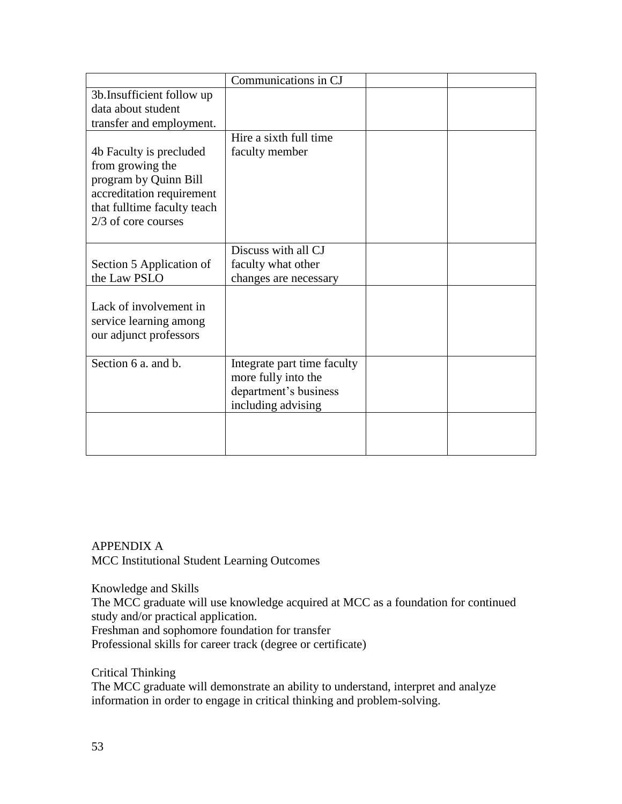|                             | Communications in CJ        |  |
|-----------------------------|-----------------------------|--|
| 3b. Insufficient follow up  |                             |  |
| data about student          |                             |  |
| transfer and employment.    |                             |  |
|                             | Hire a sixth full time      |  |
| 4b Faculty is precluded     | faculty member              |  |
| from growing the            |                             |  |
| program by Quinn Bill       |                             |  |
| accreditation requirement   |                             |  |
| that fulltime faculty teach |                             |  |
| 2/3 of core courses         |                             |  |
|                             |                             |  |
|                             | Discuss with all CJ         |  |
| Section 5 Application of    | faculty what other          |  |
| the Law PSLO                | changes are necessary       |  |
|                             |                             |  |
| Lack of involvement in      |                             |  |
| service learning among      |                             |  |
| our adjunct professors      |                             |  |
|                             |                             |  |
| Section 6 a. and b.         | Integrate part time faculty |  |
|                             | more fully into the         |  |
|                             | department's business       |  |
|                             | including advising          |  |
|                             |                             |  |
|                             |                             |  |
|                             |                             |  |

# APPENDIX A MCC Institutional Student Learning Outcomes

Knowledge and Skills

The MCC graduate will use knowledge acquired at MCC as a foundation for continued study and/or practical application. Freshman and sophomore foundation for transfer

Professional skills for career track (degree or certificate)

Critical Thinking

The MCC graduate will demonstrate an ability to understand, interpret and analyze information in order to engage in critical thinking and problem-solving.